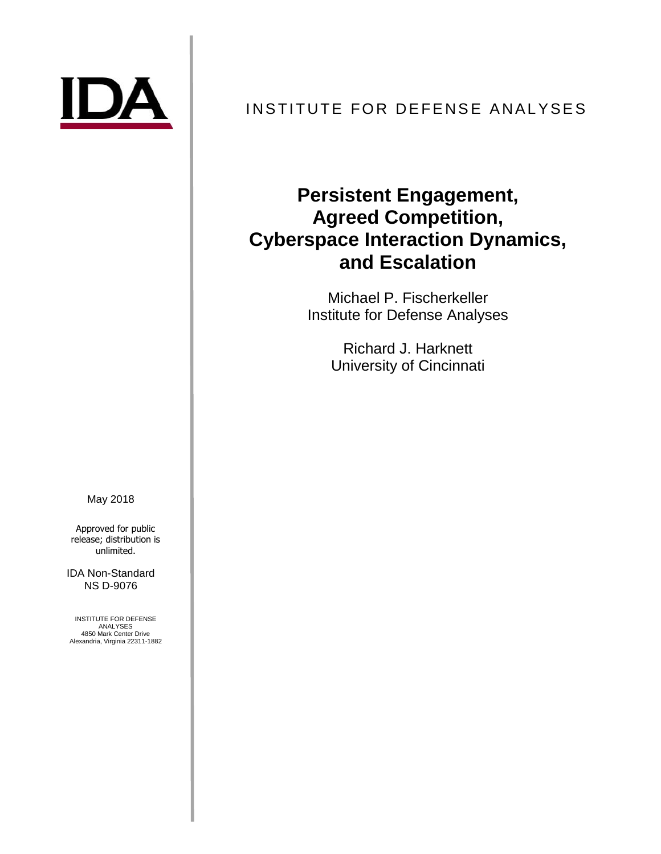

# INSTITUTE FOR DEFENSE ANALYSES

# **Persistent Engagement, Agreed Competition, Cyberspace Interaction Dynamics, and Escalation**

Michael P. Fischerkeller Institute for Defense Analyses

> Richard J. Harknett University of Cincinnati

May 2018

Approved for public release; distribution is unlimited.

IDA Non-Standard NS D-9076

INSTITUTE FOR DEFENSE ANALYSES 4850 Mark Center Drive Alexandria, Virginia 22311-1882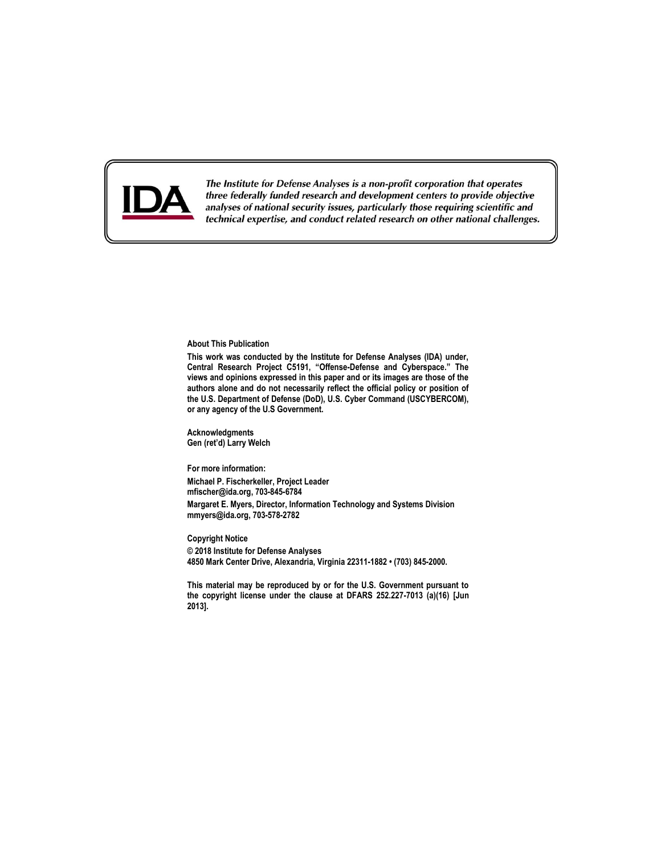

The Institute for Defense Analyses is a non-profit corporation that operates three federally funded research and development centers to provide objective analyses of national security issues, particularly those requiring scientific and technical expertise, and conduct related research on other national challenges.

#### **About This Publication**

**This work was conducted by the Institute for Defense Analyses (IDA) under, Central Research Project C5191, "Offense-Defense and Cyberspace." The views and opinions expressed in this paper and or its images are those of the authors alone and do not necessarily reflect the official policy or position of the U.S. Department of Defense (DoD), U.S. Cyber Command (USCYBERCOM), or any agency of the U.S Government.**

**Acknowledgments Gen (ret'd) Larry Welch**

**For more information: Michael P. Fischerkeller, Project Leader mfischer@ida.org, 703-845-6784 Margaret E. Myers, Director, Information Technology and Systems Division [mmyers@ida.org,](mailto:mmyers@ida.org) 703-578-2782**

**Copyright Notice © 2018 Institute for Defense Analyses 4850 Mark Center Drive, Alexandria, Virginia 22311-1882 • (703) 845-2000.**

**This material may be reproduced by or for the U.S. Government pursuant to the copyright license under the clause at DFARS 252.227-7013 (a)(16) [Jun 2013].**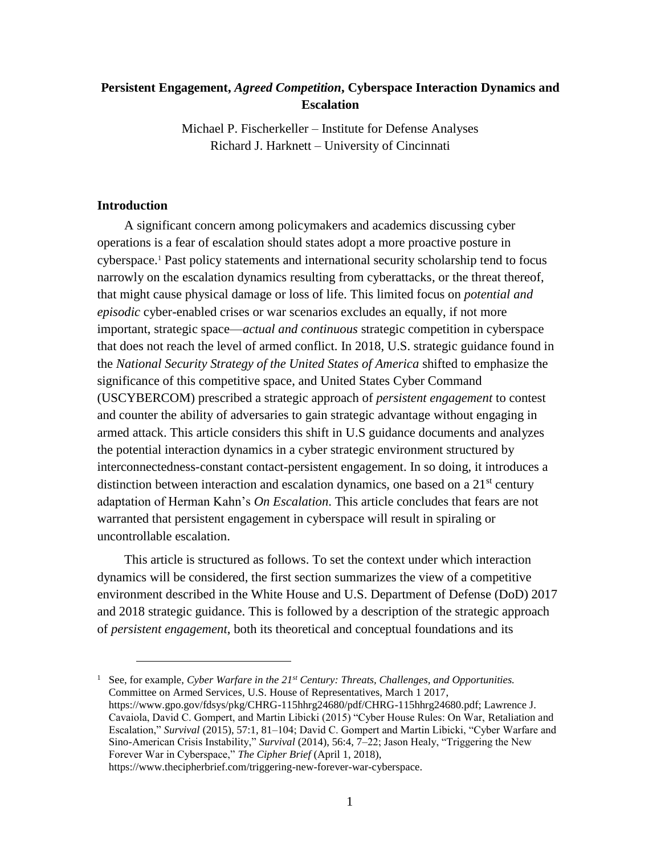## **Persistent Engagement,** *Agreed Competition***, Cyberspace Interaction Dynamics and Escalation**

Michael P. Fischerkeller – Institute for Defense Analyses Richard J. Harknett – University of Cincinnati

### **Introduction**

 $\overline{a}$ 

A significant concern among policymakers and academics discussing cyber operations is a fear of escalation should states adopt a more proactive posture in cyberspace. <sup>1</sup> Past policy statements and international security scholarship tend to focus narrowly on the escalation dynamics resulting from cyberattacks, or the threat thereof, that might cause physical damage or loss of life. This limited focus on *potential and episodic* cyber-enabled crises or war scenarios excludes an equally, if not more important, strategic space—*actual and continuous* strategic competition in cyberspace that does not reach the level of armed conflict. In 2018, U.S. strategic guidance found in the *National Security Strategy of the United States of America* shifted to emphasize the significance of this competitive space, and United States Cyber Command (USCYBERCOM) prescribed a strategic approach of *persistent engagement* to contest and counter the ability of adversaries to gain strategic advantage without engaging in armed attack. This article considers this shift in U.S guidance documents and analyzes the potential interaction dynamics in a cyber strategic environment structured by interconnectedness-constant contact-persistent engagement. In so doing, it introduces a distinction between interaction and escalation dynamics, one based on a  $21<sup>st</sup>$  century adaptation of Herman Kahn's *On Escalation*. This article concludes that fears are not warranted that persistent engagement in cyberspace will result in spiraling or uncontrollable escalation.

This article is structured as follows. To set the context under which interaction dynamics will be considered, the first section summarizes the view of a competitive environment described in the White House and U.S. Department of Defense (DoD) 2017 and 2018 strategic guidance. This is followed by a description of the strategic approach of *persistent engagement*, both its theoretical and conceptual foundations and its

<sup>1</sup> See, for example, *Cyber Warfare in the 21st Century: Threats, Challenges, and Opportunities.*  Committee on Armed Services, U.S. House of Representatives, March 1 2017, [https://www.gpo.gov/fdsys/pkg/CHRG-115hhrg24680/pdf/CHRG-115hhrg24680.pdf;](https://www.gpo.gov/fdsys/pkg/CHRG-115hhrg24680/pdf/CHRG-115hhrg24680.pdf) Lawrence J. Cavaiola, David C. Gompert, and Martin Libicki (2015) "Cyber House Rules: On War, Retaliation and Escalation," *Survival* (2015), 57:1, 81–104; David C. Gompert and Martin Libicki, "Cyber Warfare and Sino-American Crisis Instability," *Survival* (2014), 56:4, 7–22; Jason Healy, "Triggering the New Forever War in Cyberspace," *The Cipher Brief* (April 1, 2018), https://www.thecipherbrief.com/triggering-new-forever-war-cyberspace.

1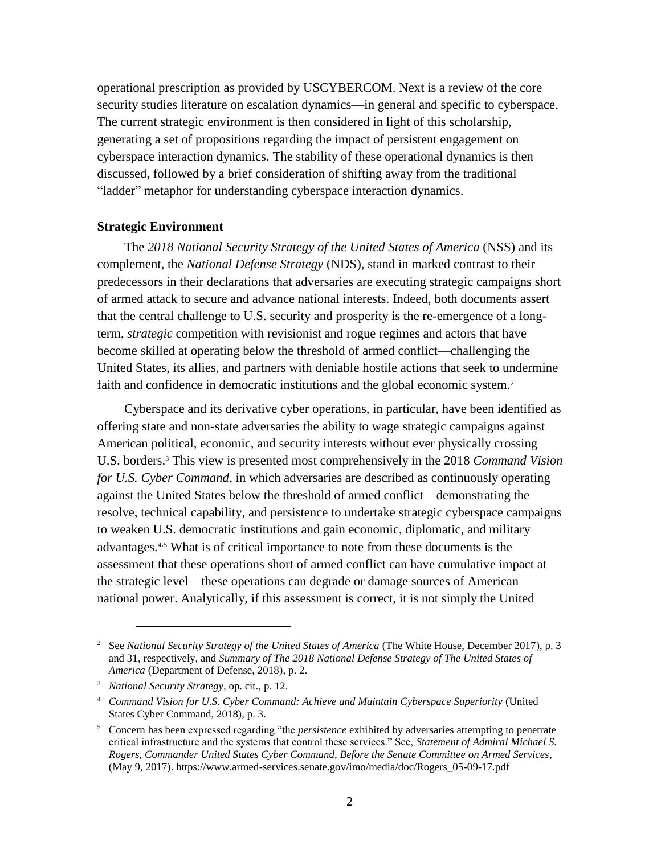operational prescription as provided by USCYBERCOM. Next is a review of the core security studies literature on escalation dynamics—in general and specific to cyberspace. The current strategic environment is then considered in light of this scholarship, generating a set of propositions regarding the impact of persistent engagement on cyberspace interaction dynamics. The stability of these operational dynamics is then discussed, followed by a brief consideration of shifting away from the traditional "ladder" metaphor for understanding cyberspace interaction dynamics.

#### **Strategic Environment**

The *2018 National Security Strategy of the United States of America* (NSS) and its complement, the *National Defense Strategy* (NDS), stand in marked contrast to their predecessors in their declarations that adversaries are executing strategic campaigns short of armed attack to secure and advance national interests. Indeed, both documents assert that the central challenge to U.S. security and prosperity is the re-emergence of a longterm, *strategic* competition with revisionist and rogue regimes and actors that have become skilled at operating below the threshold of armed conflict—challenging the United States, its allies, and partners with deniable hostile actions that seek to undermine faith and confidence in democratic institutions and the global economic system.<sup>2</sup>

Cyberspace and its derivative cyber operations, in particular, have been identified as offering state and non-state adversaries the ability to wage strategic campaigns against American political, economic, and security interests without ever physically crossing U.S. borders. <sup>3</sup> This view is presented most comprehensively in the 2018 *Command Vision for U.S. Cyber Command*, in which adversaries are described as continuously operating against the United States below the threshold of armed conflict—demonstrating the resolve, technical capability, and persistence to undertake strategic cyberspace campaigns to weaken U.S. democratic institutions and gain economic, diplomatic, and military advantages.4,<sup>5</sup> What is of critical importance to note from these documents is the assessment that these operations short of armed conflict can have cumulative impact at the strategic level—these operations can degrade or damage sources of American national power. Analytically, if this assessment is correct, it is not simply the United

<sup>2</sup> See *National Security Strategy of the United States of America* (The White House, December 2017), p. 3 and 31, respectively, and *Summary of The 2018 National Defense Strategy of The United States of America* (Department of Defense, 2018), p. 2.

<sup>3</sup> *National Security Strategy*, op. cit., p. 12.

<sup>4</sup> *Command Vision for U.S. Cyber Command: Achieve and Maintain Cyberspace Superiority* (United States Cyber Command, 2018), p. 3.

<sup>5</sup> Concern has been expressed regarding "the *persistence* exhibited by adversaries attempting to penetrate critical infrastructure and the systems that control these services." See, *Statement of Admiral Michael S. Rogers, Commander United States Cyber Command, Before the Senate Committee on Armed Services*, (May 9, 2017). https://www.armed-services.senate.gov/imo/media/doc/Rogers\_05-09-17.pdf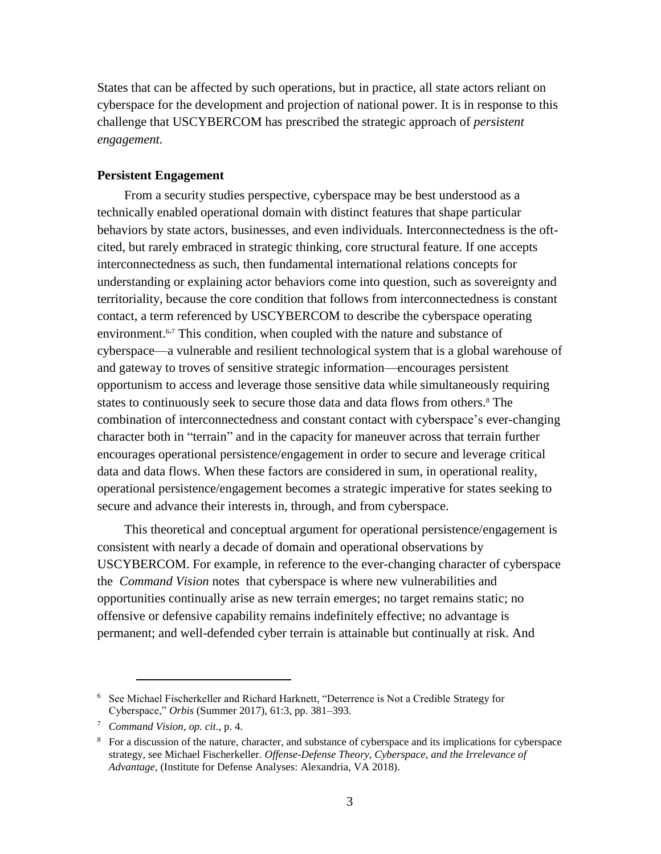States that can be affected by such operations, but in practice, all state actors reliant on cyberspace for the development and projection of national power. It is in response to this challenge that USCYBERCOM has prescribed the strategic approach of *persistent engagement.*

#### **Persistent Engagement**

From a security studies perspective, cyberspace may be best understood as a technically enabled operational domain with distinct features that shape particular behaviors by state actors, businesses, and even individuals. Interconnectedness is the oftcited, but rarely embraced in strategic thinking, core structural feature. If one accepts interconnectedness as such, then fundamental international relations concepts for understanding or explaining actor behaviors come into question, such as sovereignty and territoriality, because the core condition that follows from interconnectedness is constant contact, a term referenced by USCYBERCOM to describe the cyberspace operating environment.<sup>6,7</sup> This condition, when coupled with the nature and substance of cyberspace—a vulnerable and resilient technological system that is a global warehouse of and gateway to troves of sensitive strategic information—encourages persistent opportunism to access and leverage those sensitive data while simultaneously requiring states to continuously seek to secure those data and data flows from others.<sup>8</sup> The combination of interconnectedness and constant contact with cyberspace's ever-changing character both in "terrain" and in the capacity for maneuver across that terrain further encourages operational persistence/engagement in order to secure and leverage critical data and data flows. When these factors are considered in sum, in operational reality, operational persistence/engagement becomes a strategic imperative for states seeking to secure and advance their interests in, through, and from cyberspace.

This theoretical and conceptual argument for operational persistence/engagement is consistent with nearly a decade of domain and operational observations by USCYBERCOM. For example, in reference to the ever-changing character of cyberspace the *Command Vision* notes that cyberspace is where new vulnerabilities and opportunities continually arise as new terrain emerges; no target remains static; no offensive or defensive capability remains indefinitely effective; no advantage is permanent; and well-defended cyber terrain is attainable but continually at risk. And

<sup>6</sup> See Michael Fischerkeller and Richard Harknett, "Deterrence is Not a Credible Strategy for Cyberspace," *Orbis* (Summer 2017), 61:3, pp. 381–393.

<sup>7</sup> *Command Vision*, *op. cit*., p. 4.

<sup>&</sup>lt;sup>8</sup> For a discussion of the nature, character, and substance of cyberspace and its implications for cyberspace strategy, see Michael Fischerkeller. *Offense-Defense Theory, Cyberspace, and the Irrelevance of Advantage*, (Institute for Defense Analyses: Alexandria, VA 2018).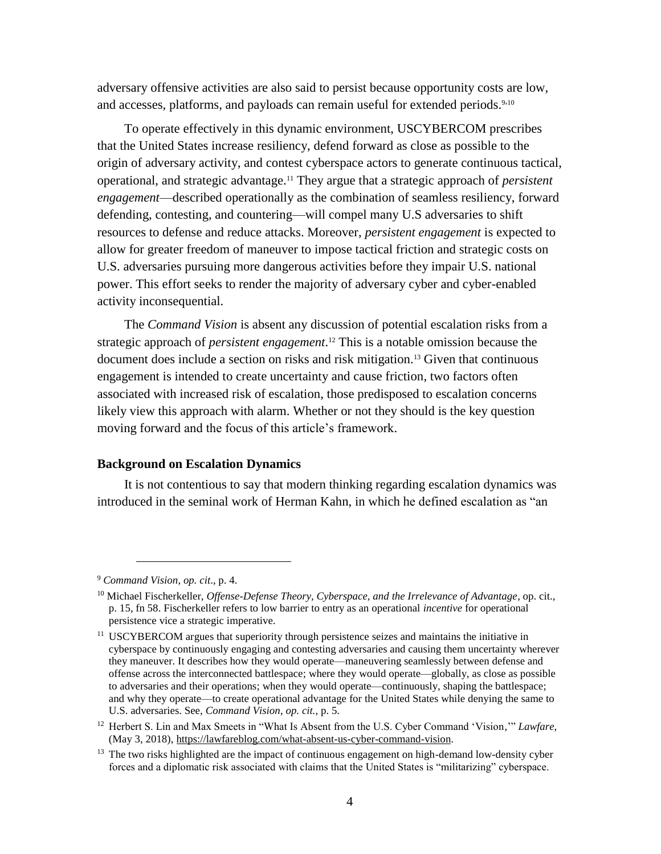adversary offensive activities are also said to persist because opportunity costs are low, and accesses, platforms, and payloads can remain useful for extended periods.<sup>9,10</sup>

To operate effectively in this dynamic environment, USCYBERCOM prescribes that the United States increase resiliency, defend forward as close as possible to the origin of adversary activity, and contest cyberspace actors to generate continuous tactical, operational, and strategic advantage. <sup>11</sup> They argue that a strategic approach of *persistent engagement*—described operationally as the combination of seamless resiliency, forward defending, contesting, and countering—will compel many U.S adversaries to shift resources to defense and reduce attacks. Moreover, *persistent engagement* is expected to allow for greater freedom of maneuver to impose tactical friction and strategic costs on U.S. adversaries pursuing more dangerous activities before they impair U.S. national power. This effort seeks to render the majority of adversary cyber and cyber-enabled activity inconsequential.

The *Command Vision* is absent any discussion of potential escalation risks from a strategic approach of *persistent engagement*. <sup>12</sup> This is a notable omission because the document does include a section on risks and risk mitigation.<sup>13</sup> Given that continuous engagement is intended to create uncertainty and cause friction, two factors often associated with increased risk of escalation, those predisposed to escalation concerns likely view this approach with alarm. Whether or not they should is the key question moving forward and the focus of this article's framework.

#### **Background on Escalation Dynamics**

It is not contentious to say that modern thinking regarding escalation dynamics was introduced in the seminal work of Herman Kahn, in which he defined escalation as "an

<sup>9</sup> *Command Vision*, *op. cit*., p. 4.

<sup>10</sup> Michael Fischerkeller, *Offense-Defense Theory, Cyberspace, and the Irrelevance of Advantage*, op. cit., p. 15, fn 58. Fischerkeller refers to low barrier to entry as an operational *incentive* for operational persistence vice a strategic imperative.

<sup>&</sup>lt;sup>11</sup> USCYBERCOM argues that superiority through persistence seizes and maintains the initiative in cyberspace by continuously engaging and contesting adversaries and causing them uncertainty wherever they maneuver. It describes how they would operate—maneuvering seamlessly between defense and offense across the interconnected battlespace; where they would operate—globally, as close as possible to adversaries and their operations; when they would operate—continuously, shaping the battlespace; and why they operate––to create operational advantage for the United States while denying the same to U.S. adversaries. See, *Command Vision*, *op. cit.*, p. 5.

<sup>12</sup> Herbert S. Lin and Max Smeets in "What Is Absent from the U.S. Cyber Command 'Vision,'" *Lawfare*, (May 3, 2018), [https://lawfareblog.com/what-absent-us-cyber-command-vision.](https://lawfareblog.com/what-absent-us-cyber-command-vision)

 $13$  The two risks highlighted are the impact of continuous engagement on high-demand low-density cyber forces and a diplomatic risk associated with claims that the United States is "militarizing" cyberspace.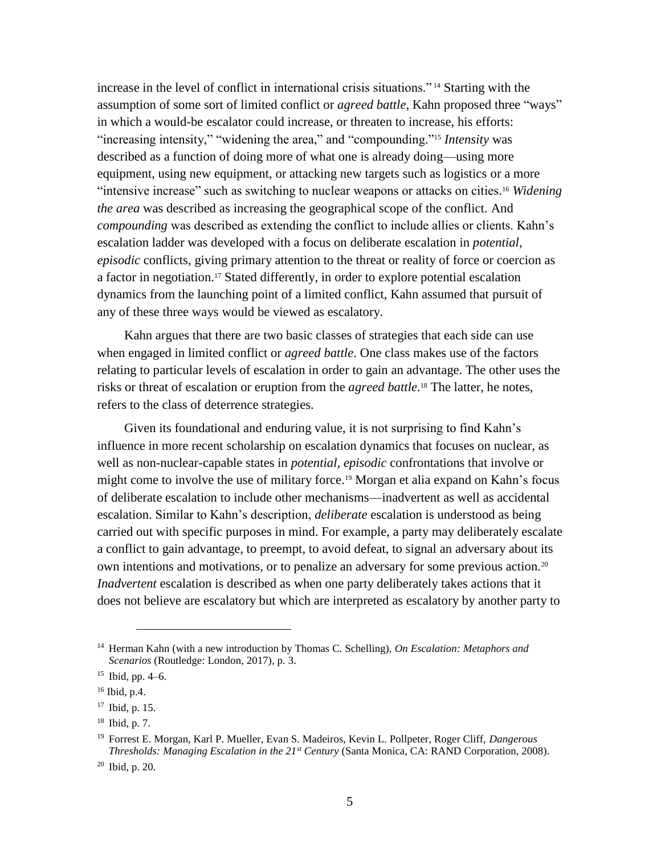increase in the level of conflict in international crisis situations." <sup>14</sup> Starting with the assumption of some sort of limited conflict or *agreed battle*, Kahn proposed three "ways" in which a would-be escalator could increase, or threaten to increase, his efforts: "increasing intensity," "widening the area," and "compounding." <sup>15</sup> *Intensity* was described as a function of doing more of what one is already doing—using more equipment, using new equipment, or attacking new targets such as logistics or a more "intensive increase" such as switching to nuclear weapons or attacks on cities. <sup>16</sup> *Widening the area* was described as increasing the geographical scope of the conflict. And *compounding* was described as extending the conflict to include allies or clients. Kahn's escalation ladder was developed with a focus on deliberate escalation in *potential, episodic* conflicts, giving primary attention to the threat or reality of force or coercion as a factor in negotiation.<sup>17</sup> Stated differently, in order to explore potential escalation dynamics from the launching point of a limited conflict, Kahn assumed that pursuit of any of these three ways would be viewed as escalatory.

Kahn argues that there are two basic classes of strategies that each side can use when engaged in limited conflict or *agreed battle*. One class makes use of the factors relating to particular levels of escalation in order to gain an advantage. The other uses the risks or threat of escalation or eruption from the *agreed battle*. <sup>18</sup> The latter, he notes, refers to the class of deterrence strategies.

Given its foundational and enduring value, it is not surprising to find Kahn's influence in more recent scholarship on escalation dynamics that focuses on nuclear, as well as non-nuclear-capable states in *potential, episodic* confrontations that involve or might come to involve the use of military force. <sup>19</sup> Morgan et alia expand on Kahn's focus of deliberate escalation to include other mechanisms—inadvertent as well as accidental escalation. Similar to Kahn's description, *deliberate* escalation is understood as being carried out with specific purposes in mind. For example, a party may deliberately escalate a conflict to gain advantage, to preempt, to avoid defeat, to signal an adversary about its own intentions and motivations, or to penalize an adversary for some previous action.<sup>20</sup> *Inadvertent* escalation is described as when one party deliberately takes actions that it does not believe are escalatory but which are interpreted as escalatory by another party to

<sup>14</sup> Herman Kahn (with a new introduction by Thomas C. Schelling), *On Escalation: Metaphors and Scenarios* (Routledge: London, 2017), p. 3.

 $15$  Ibid, pp. 4–6.

<sup>16</sup> Ibid, p.4.

<sup>17</sup> Ibid, p. 15.

<sup>18</sup> Ibid, p. 7.

<sup>19</sup> Forrest E. Morgan, Karl P. Mueller, Evan S. Madeiros, Kevin L. Pollpeter, Roger Cliff, *Dangerous Thresholds: Managing Escalation in the 21st Century* (Santa Monica, CA: RAND Corporation, 2008).

<sup>20</sup> Ibid, p. 20.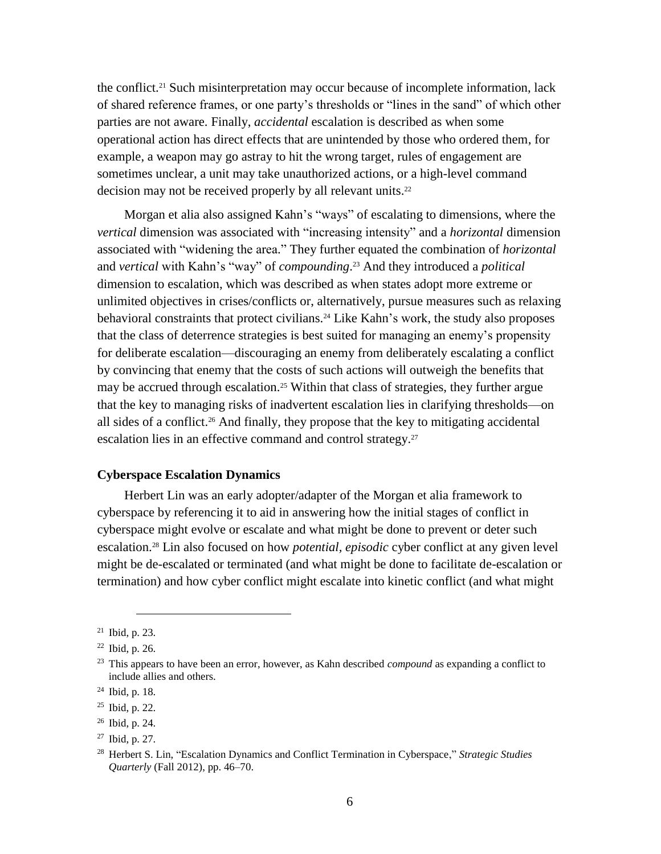the conflict.<sup>21</sup> Such misinterpretation may occur because of incomplete information, lack of shared reference frames, or one party's thresholds or "lines in the sand" of which other parties are not aware. Finally, *accidental* escalation is described as when some operational action has direct effects that are unintended by those who ordered them, for example, a weapon may go astray to hit the wrong target, rules of engagement are sometimes unclear, a unit may take unauthorized actions, or a high-level command decision may not be received properly by all relevant units. 22

Morgan et alia also assigned Kahn's "ways" of escalating to dimensions, where the *vertical* dimension was associated with "increasing intensity" and a *horizontal* dimension associated with "widening the area." They further equated the combination of *horizontal* and *vertical* with Kahn's "way" of *compounding*. <sup>23</sup> And they introduced a *political* dimension to escalation, which was described as when states adopt more extreme or unlimited objectives in crises/conflicts or, alternatively, pursue measures such as relaxing behavioral constraints that protect civilians. <sup>24</sup> Like Kahn's work, the study also proposes that the class of deterrence strategies is best suited for managing an enemy's propensity for deliberate escalation—discouraging an enemy from deliberately escalating a conflict by convincing that enemy that the costs of such actions will outweigh the benefits that may be accrued through escalation.<sup>25</sup> Within that class of strategies, they further argue that the key to managing risks of inadvertent escalation lies in clarifying thresholds—on all sides of a conflict.<sup>26</sup> And finally, they propose that the key to mitigating accidental escalation lies in an effective command and control strategy.<sup>27</sup>

### **Cyberspace Escalation Dynamics**

Herbert Lin was an early adopter/adapter of the Morgan et alia framework to cyberspace by referencing it to aid in answering how the initial stages of conflict in cyberspace might evolve or escalate and what might be done to prevent or deter such escalation. <sup>28</sup> Lin also focused on how *potential, episodic* cyber conflict at any given level might be de-escalated or terminated (and what might be done to facilitate de-escalation or termination) and how cyber conflict might escalate into kinetic conflict (and what might

<sup>21</sup> Ibid, p. 23.

<sup>22</sup> Ibid, p. 26.

<sup>23</sup> This appears to have been an error, however, as Kahn described *compound* as expanding a conflict to include allies and others.

<sup>24</sup> Ibid, p. 18.

<sup>25</sup> Ibid, p. 22.

<sup>26</sup> Ibid, p. 24.

<sup>27</sup> Ibid, p. 27.

<sup>28</sup> Herbert S. Lin, "Escalation Dynamics and Conflict Termination in Cyberspace," *Strategic Studies Quarterly* (Fall 2012), pp. 46–70.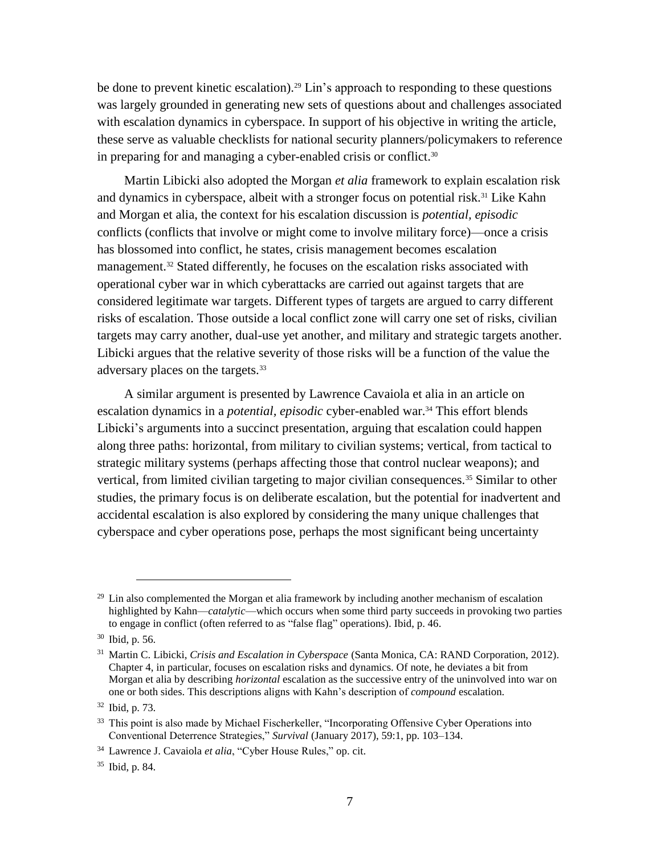be done to prevent kinetic escalation).<sup>29</sup> Lin's approach to responding to these questions was largely grounded in generating new sets of questions about and challenges associated with escalation dynamics in cyberspace. In support of his objective in writing the article, these serve as valuable checklists for national security planners/policymakers to reference in preparing for and managing a cyber-enabled crisis or conflict.<sup>30</sup>

Martin Libicki also adopted the Morgan *et alia* framework to explain escalation risk and dynamics in cyberspace, albeit with a stronger focus on potential risk. <sup>31</sup> Like Kahn and Morgan et alia, the context for his escalation discussion is *potential, episodic* conflicts (conflicts that involve or might come to involve military force)—once a crisis has blossomed into conflict, he states, crisis management becomes escalation management. <sup>32</sup> Stated differently, he focuses on the escalation risks associated with operational cyber war in which cyberattacks are carried out against targets that are considered legitimate war targets. Different types of targets are argued to carry different risks of escalation. Those outside a local conflict zone will carry one set of risks, civilian targets may carry another, dual-use yet another, and military and strategic targets another. Libicki argues that the relative severity of those risks will be a function of the value the adversary places on the targets.<sup>33</sup>

A similar argument is presented by Lawrence Cavaiola et alia in an article on escalation dynamics in a *potential, episodic* cyber-enabled war.<sup>34</sup> This effort blends Libicki's arguments into a succinct presentation, arguing that escalation could happen along three paths: horizontal, from military to civilian systems; vertical, from tactical to strategic military systems (perhaps affecting those that control nuclear weapons); and vertical, from limited civilian targeting to major civilian consequences.<sup>35</sup> Similar to other studies, the primary focus is on deliberate escalation, but the potential for inadvertent and accidental escalation is also explored by considering the many unique challenges that cyberspace and cyber operations pose, perhaps the most significant being uncertainty

<sup>&</sup>lt;sup>29</sup> Lin also complemented the Morgan et alia framework by including another mechanism of escalation highlighted by Kahn—*catalytic*—which occurs when some third party succeeds in provoking two parties to engage in conflict (often referred to as "false flag" operations). Ibid, p. 46.

<sup>30</sup> Ibid, p. 56.

<sup>31</sup> Martin C. Libicki, *Crisis and Escalation in Cyberspace* (Santa Monica, CA: RAND Corporation, 2012). Chapter 4, in particular, focuses on escalation risks and dynamics. Of note, he deviates a bit from Morgan et alia by describing *horizontal* escalation as the successive entry of the uninvolved into war on one or both sides. This descriptions aligns with Kahn's description of *compound* escalation.

<sup>32</sup> Ibid, p. 73.

<sup>&</sup>lt;sup>33</sup> This point is also made by Michael Fischerkeller, "Incorporating Offensive Cyber Operations into Conventional Deterrence Strategies," *Survival* (January 2017), 59:1, pp. 103–134.

<sup>34</sup> Lawrence J. Cavaiola *et alia*, "Cyber House Rules," op. cit.

<sup>35</sup> Ibid, p. 84.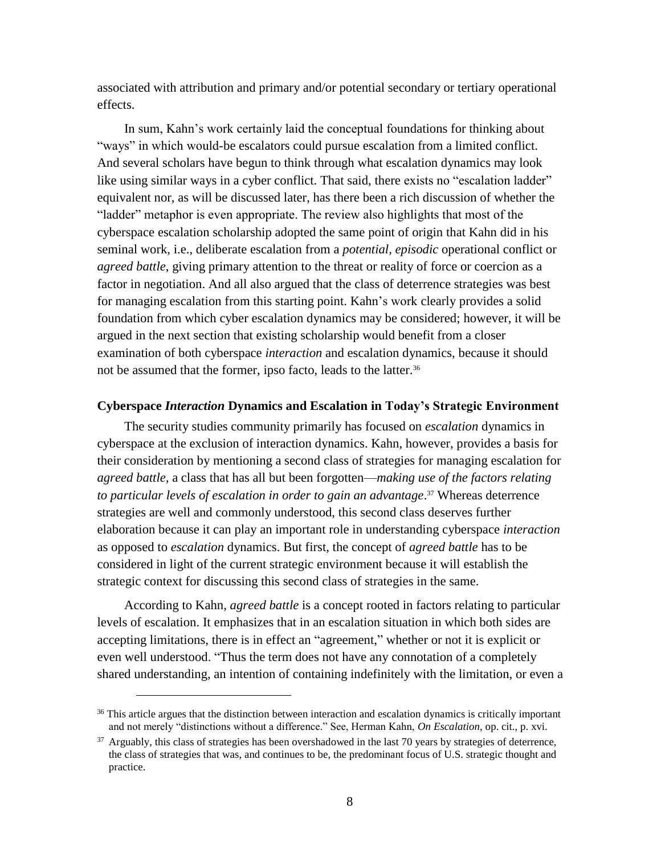associated with attribution and primary and/or potential secondary or tertiary operational effects.

In sum, Kahn's work certainly laid the conceptual foundations for thinking about "ways" in which would-be escalators could pursue escalation from a limited conflict. And several scholars have begun to think through what escalation dynamics may look like using similar ways in a cyber conflict. That said, there exists no "escalation ladder" equivalent nor, as will be discussed later, has there been a rich discussion of whether the "ladder" metaphor is even appropriate. The review also highlights that most of the cyberspace escalation scholarship adopted the same point of origin that Kahn did in his seminal work, i.e., deliberate escalation from a *potential, episodic* operational conflict or *agreed battle*, giving primary attention to the threat or reality of force or coercion as a factor in negotiation. And all also argued that the class of deterrence strategies was best for managing escalation from this starting point. Kahn's work clearly provides a solid foundation from which cyber escalation dynamics may be considered; however, it will be argued in the next section that existing scholarship would benefit from a closer examination of both cyberspace *interaction* and escalation dynamics, because it should not be assumed that the former, ipso facto, leads to the latter.<sup>36</sup>

#### **Cyberspace** *Interaction* **Dynamics and Escalation in Today's Strategic Environment**

The security studies community primarily has focused on *escalation* dynamics in cyberspace at the exclusion of interaction dynamics. Kahn, however, provides a basis for their consideration by mentioning a second class of strategies for managing escalation for *agreed battle,* a class that has all but been forgotten—*making use of the factors relating to particular levels of escalation in order to gain an advantage*. <sup>37</sup> Whereas deterrence strategies are well and commonly understood, this second class deserves further elaboration because it can play an important role in understanding cyberspace *interaction* as opposed to *escalation* dynamics. But first, the concept of *agreed battle* has to be considered in light of the current strategic environment because it will establish the strategic context for discussing this second class of strategies in the same.

According to Kahn, *agreed battle* is a concept rooted in factors relating to particular levels of escalation. It emphasizes that in an escalation situation in which both sides are accepting limitations, there is in effect an "agreement," whether or not it is explicit or even well understood. "Thus the term does not have any connotation of a completely shared understanding, an intention of containing indefinitely with the limitation, or even a

<sup>&</sup>lt;sup>36</sup> This article argues that the distinction between interaction and escalation dynamics is critically important and not merely "distinctions without a difference." See, Herman Kahn, *On Escalation*, op. cit., p. xvi.

<sup>&</sup>lt;sup>37</sup> Arguably, this class of strategies has been overshadowed in the last 70 years by strategies of deterrence, the class of strategies that was, and continues to be, the predominant focus of U.S. strategic thought and practice.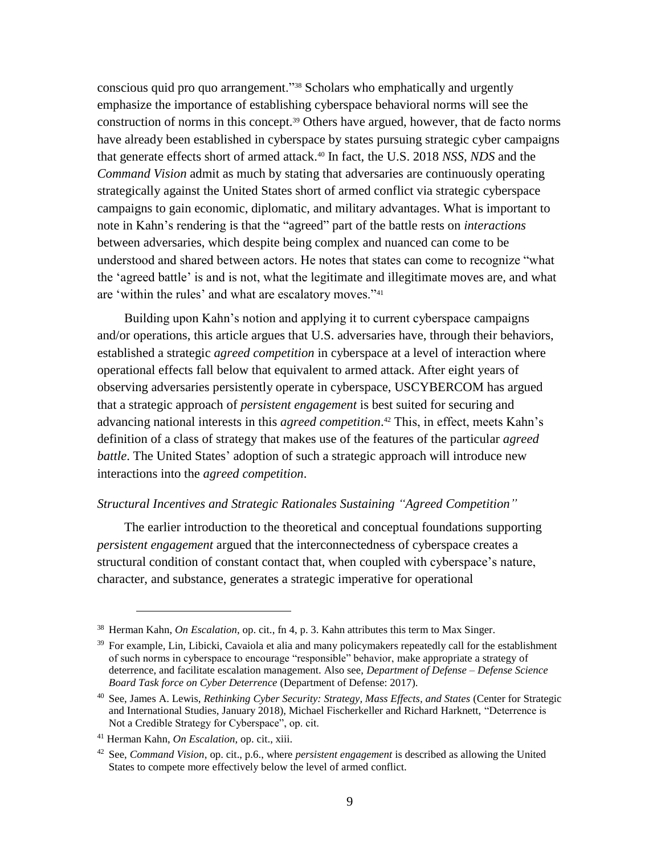conscious quid pro quo arrangement."<sup>38</sup> Scholars who emphatically and urgently emphasize the importance of establishing cyberspace behavioral norms will see the construction of norms in this concept.<sup>39</sup> Others have argued, however, that de facto norms have already been established in cyberspace by states pursuing strategic cyber campaigns that generate effects short of armed attack.<sup>40</sup> In fact, the U.S. 2018 *NSS*, *NDS* and the *Command Vision* admit as much by stating that adversaries are continuously operating strategically against the United States short of armed conflict via strategic cyberspace campaigns to gain economic, diplomatic, and military advantages. What is important to note in Kahn's rendering is that the "agreed" part of the battle rests on *interactions* between adversaries, which despite being complex and nuanced can come to be understood and shared between actors. He notes that states can come to recognize "what the 'agreed battle' is and is not, what the legitimate and illegitimate moves are, and what are 'within the rules' and what are escalatory moves."<sup>41</sup>

Building upon Kahn's notion and applying it to current cyberspace campaigns and/or operations, this article argues that U.S. adversaries have, through their behaviors, established a strategic *agreed competition* in cyberspace at a level of interaction where operational effects fall below that equivalent to armed attack. After eight years of observing adversaries persistently operate in cyberspace, USCYBERCOM has argued that a strategic approach of *persistent engagement* is best suited for securing and advancing national interests in this *agreed competition*. <sup>42</sup> This, in effect, meets Kahn's definition of a class of strategy that makes use of the features of the particular *agreed battle*. The United States' adoption of such a strategic approach will introduce new interactions into the *agreed competition*.

#### *Structural Incentives and Strategic Rationales Sustaining "Agreed Competition"*

The earlier introduction to the theoretical and conceptual foundations supporting *persistent engagement* argued that the interconnectedness of cyberspace creates a structural condition of constant contact that, when coupled with cyberspace's nature, character, and substance, generates a strategic imperative for operational

<sup>38</sup> Herman Kahn, *On Escalation*, op. cit., fn 4, p. 3. Kahn attributes this term to Max Singer.

 $39$  For example, Lin, Libicki, Cavaiola et alia and many policymakers repeatedly call for the establishment of such norms in cyberspace to encourage "responsible" behavior, make appropriate a strategy of deterrence, and facilitate escalation management. Also see, *Department of Defense – Defense Science Board Task force on Cyber Deterrence* (Department of Defense: 2017).

<sup>40</sup> See, James A. Lewis, *Rethinking Cyber Security: Strategy, Mass Effects, and States* (Center for Strategic and International Studies, January 2018), Michael Fischerkeller and Richard Harknett, "Deterrence is Not a Credible Strategy for Cyberspace", op. cit.

<sup>41</sup> Herman Kahn, *On Escalation*, op. cit., xiii.

<sup>42</sup> See, *Command Vision*, op. cit., p.6., where *persistent engagement* is described as allowing the United States to compete more effectively below the level of armed conflict.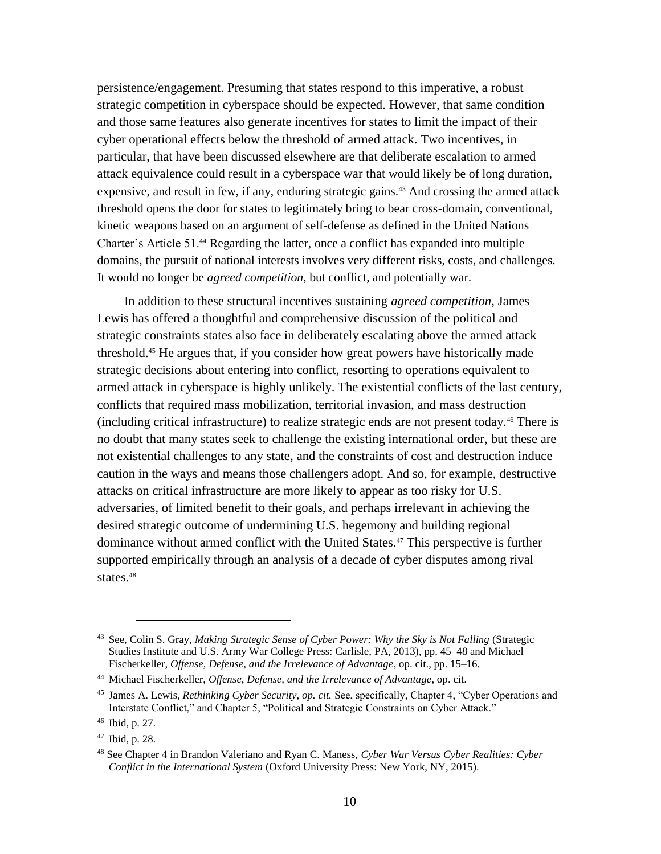persistence/engagement. Presuming that states respond to this imperative, a robust strategic competition in cyberspace should be expected. However, that same condition and those same features also generate incentives for states to limit the impact of their cyber operational effects below the threshold of armed attack. Two incentives, in particular, that have been discussed elsewhere are that deliberate escalation to armed attack equivalence could result in a cyberspace war that would likely be of long duration, expensive, and result in few, if any, enduring strategic gains.<sup>43</sup> And crossing the armed attack threshold opens the door for states to legitimately bring to bear cross-domain, conventional, kinetic weapons based on an argument of self-defense as defined in the United Nations Charter's Article 51.<sup>44</sup> Regarding the latter, once a conflict has expanded into multiple domains, the pursuit of national interests involves very different risks, costs, and challenges. It would no longer be *agreed competition*, but conflict, and potentially war.

In addition to these structural incentives sustaining *agreed competition*, James Lewis has offered a thoughtful and comprehensive discussion of the political and strategic constraints states also face in deliberately escalating above the armed attack threshold.<sup>45</sup> He argues that, if you consider how great powers have historically made strategic decisions about entering into conflict, resorting to operations equivalent to armed attack in cyberspace is highly unlikely. The existential conflicts of the last century, conflicts that required mass mobilization, territorial invasion, and mass destruction (including critical infrastructure) to realize strategic ends are not present today.<sup>46</sup> There is no doubt that many states seek to challenge the existing international order, but these are not existential challenges to any state, and the constraints of cost and destruction induce caution in the ways and means those challengers adopt. And so, for example, destructive attacks on critical infrastructure are more likely to appear as too risky for U.S. adversaries, of limited benefit to their goals, and perhaps irrelevant in achieving the desired strategic outcome of undermining U.S. hegemony and building regional dominance without armed conflict with the United States.<sup>47</sup> This perspective is further supported empirically through an analysis of a decade of cyber disputes among rival states.<sup>48</sup>

<sup>43</sup> See, Colin S. Gray, *Making Strategic Sense of Cyber Power: Why the Sky is Not Falling* (Strategic Studies Institute and U.S. Army War College Press: Carlisle, PA, 2013), pp. 45–48 and Michael Fischerkeller, *Offense, Defense, and the Irrelevance of Advantage*, op. cit., pp. 15–16*.*

<sup>44</sup> Michael Fischerkeller, *Offense, Defense, and the Irrelevance of Advantage*, op. cit.

<sup>45</sup> James A. Lewis, *Rethinking Cyber Security, op. cit.* See, specifically, Chapter 4, "Cyber Operations and Interstate Conflict," and Chapter 5, "Political and Strategic Constraints on Cyber Attack."

<sup>46</sup> Ibid, p. 27.

<sup>47</sup> Ibid, p. 28.

<sup>48</sup> See Chapter 4 in Brandon Valeriano and Ryan C. Maness, *Cyber War Versus Cyber Realities: Cyber Conflict in the International System* (Oxford University Press: New York, NY, 2015).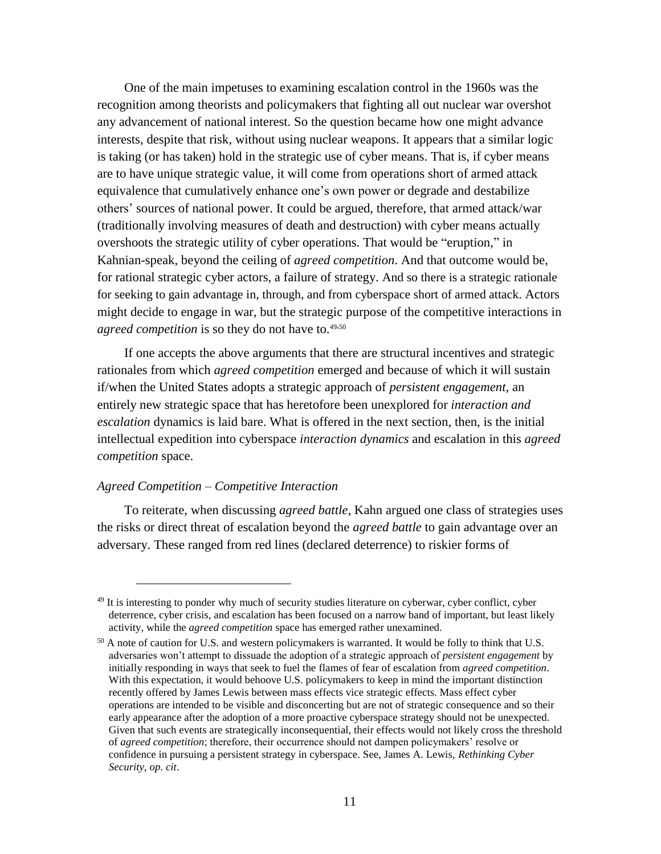One of the main impetuses to examining escalation control in the 1960s was the recognition among theorists and policymakers that fighting all out nuclear war overshot any advancement of national interest. So the question became how one might advance interests, despite that risk, without using nuclear weapons. It appears that a similar logic is taking (or has taken) hold in the strategic use of cyber means. That is, if cyber means are to have unique strategic value, it will come from operations short of armed attack equivalence that cumulatively enhance one's own power or degrade and destabilize others' sources of national power. It could be argued, therefore, that armed attack/war (traditionally involving measures of death and destruction) with cyber means actually overshoots the strategic utility of cyber operations. That would be "eruption," in Kahnian-speak, beyond the ceiling of *agreed competition*. And that outcome would be, for rational strategic cyber actors, a failure of strategy. And so there is a strategic rationale for seeking to gain advantage in, through, and from cyberspace short of armed attack. Actors might decide to engage in war, but the strategic purpose of the competitive interactions in agreed competition is so they do not have to.<sup>49,50</sup>

If one accepts the above arguments that there are structural incentives and strategic rationales from which *agreed competition* emerged and because of which it will sustain if/when the United States adopts a strategic approach of *persistent engagement*, an entirely new strategic space that has heretofore been unexplored for *interaction and escalation* dynamics is laid bare. What is offered in the next section, then, is the initial intellectual expedition into cyberspace *interaction dynamics* and escalation in this *agreed competition* space.

#### *Agreed Competition – Competitive Interaction*

 $\overline{a}$ 

To reiterate, when discussing *agreed battle,* Kahn argued one class of strategies uses the risks or direct threat of escalation beyond the *agreed battle* to gain advantage over an adversary. These ranged from red lines (declared deterrence) to riskier forms of

<sup>&</sup>lt;sup>49</sup> It is interesting to ponder why much of security studies literature on cyberwar, cyber conflict, cyber deterrence, cyber crisis, and escalation has been focused on a narrow band of important, but least likely activity, while the *agreed competition* space has emerged rather unexamined.

 $50$  A note of caution for U.S. and western policymakers is warranted. It would be folly to think that U.S. adversaries won't attempt to dissuade the adoption of a strategic approach of *persistent engagement* by initially responding in ways that seek to fuel the flames of fear of escalation from *agreed competition*. With this expectation, it would behoove U.S. policymakers to keep in mind the important distinction recently offered by James Lewis between mass effects vice strategic effects. Mass effect cyber operations are intended to be visible and disconcerting but are not of strategic consequence and so their early appearance after the adoption of a more proactive cyberspace strategy should not be unexpected. Given that such events are strategically inconsequential, their effects would not likely cross the threshold of *agreed competition*; therefore, their occurrence should not dampen policymakers' resolve or confidence in pursuing a persistent strategy in cyberspace. See, James A. Lewis, *Rethinking Cyber Security*, *op. cit*.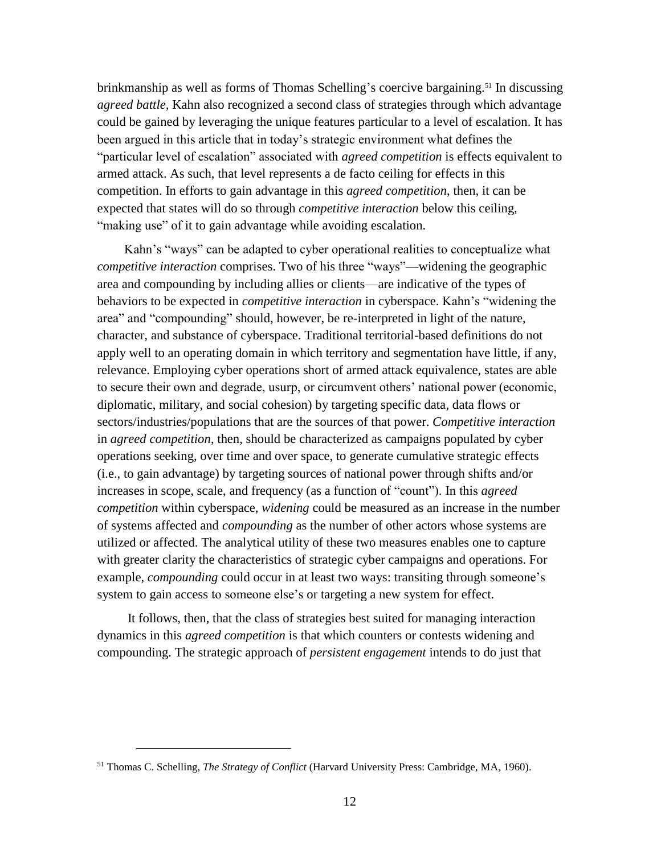brinkmanship as well as forms of Thomas Schelling's coercive bargaining. <sup>51</sup> In discussing *agreed battle,* Kahn also recognized a second class of strategies through which advantage could be gained by leveraging the unique features particular to a level of escalation. It has been argued in this article that in today's strategic environment what defines the "particular level of escalation" associated with *agreed competition* is effects equivalent to armed attack. As such, that level represents a de facto ceiling for effects in this competition. In efforts to gain advantage in this *agreed competition*, then, it can be expected that states will do so through *competitive interaction* below this ceiling, "making use" of it to gain advantage while avoiding escalation.

Kahn's "ways" can be adapted to cyber operational realities to conceptualize what *competitive interaction* comprises. Two of his three "ways"—widening the geographic area and compounding by including allies or clients—are indicative of the types of behaviors to be expected in *competitive interaction* in cyberspace. Kahn's "widening the area" and "compounding" should, however, be re-interpreted in light of the nature, character, and substance of cyberspace. Traditional territorial-based definitions do not apply well to an operating domain in which territory and segmentation have little, if any, relevance. Employing cyber operations short of armed attack equivalence, states are able to secure their own and degrade, usurp, or circumvent others' national power (economic, diplomatic, military, and social cohesion) by targeting specific data, data flows or sectors/industries/populations that are the sources of that power. *Competitive interaction* in *agreed competition*, then, should be characterized as campaigns populated by cyber operations seeking, over time and over space, to generate cumulative strategic effects (i.e., to gain advantage) by targeting sources of national power through shifts and/or increases in scope, scale, and frequency (as a function of "count"). In this *agreed competition* within cyberspace, *widening* could be measured as an increase in the number of systems affected and *compounding* as the number of other actors whose systems are utilized or affected. The analytical utility of these two measures enables one to capture with greater clarity the characteristics of strategic cyber campaigns and operations. For example, *compounding* could occur in at least two ways: transiting through someone's system to gain access to someone else's or targeting a new system for effect.

It follows, then, that the class of strategies best suited for managing interaction dynamics in this *agreed competition* is that which counters or contests widening and compounding. The strategic approach of *persistent engagement* intends to do just that

<sup>51</sup> Thomas C. Schelling, *The Strategy of Conflict* (Harvard University Press: Cambridge, MA, 1960).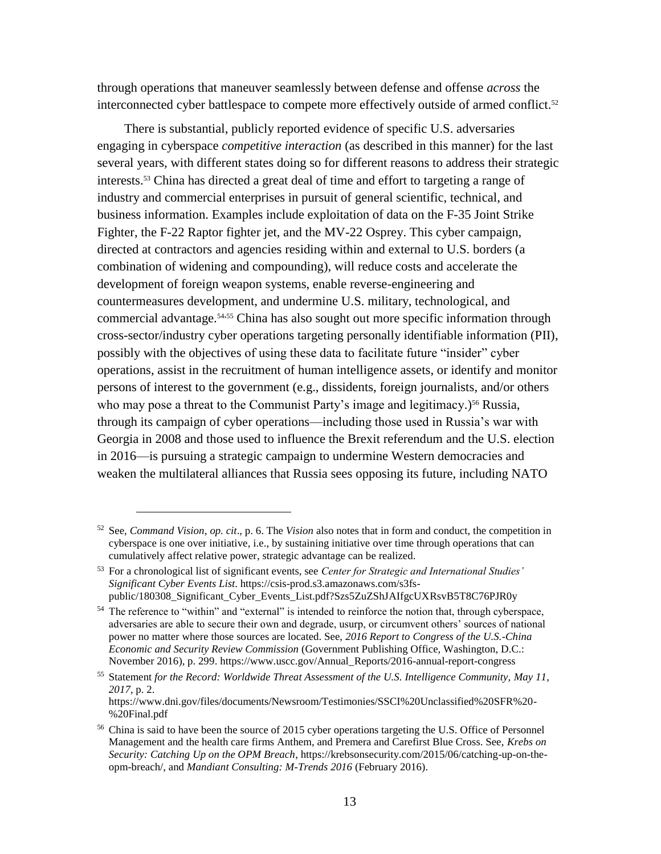through operations that maneuver seamlessly between defense and offense *across* the interconnected cyber battlespace to compete more effectively outside of armed conflict. 52

There is substantial, publicly reported evidence of specific U.S. adversaries engaging in cyberspace *competitive interaction* (as described in this manner) for the last several years, with different states doing so for different reasons to address their strategic interests.<sup>53</sup> China has directed a great deal of time and effort to targeting a range of industry and commercial enterprises in pursuit of general scientific, technical, and business information. Examples include exploitation of data on the F-35 Joint Strike Fighter, the F-22 Raptor fighter jet, and the MV-22 Osprey. This cyber campaign, directed at contractors and agencies residing within and external to U.S. borders (a combination of widening and compounding), will reduce costs and accelerate the development of foreign weapon systems, enable reverse-engineering and countermeasures development, and undermine U.S. military, technological, and commercial advantage.<sup>54,55</sup> China has also sought out more specific information through cross-sector/industry cyber operations targeting personally identifiable information (PII), possibly with the objectives of using these data to facilitate future "insider" cyber operations, assist in the recruitment of human intelligence assets, or identify and monitor persons of interest to the government (e.g., dissidents, foreign journalists, and/or others who may pose a threat to the Communist Party's image and legitimacy.)<sup>56</sup> Russia, through its campaign of cyber operations—including those used in Russia's war with Georgia in 2008 and those used to influence the Brexit referendum and the U.S. election in 2016—is pursuing a strategic campaign to undermine Western democracies and weaken the multilateral alliances that Russia sees opposing its future, including NATO

<sup>52</sup> See, *Command Vision*, *op. cit*., p. 6. The *Vision* also notes that in form and conduct, the competition in cyberspace is one over initiative, i.e., by sustaining initiative over time through operations that can cumulatively affect relative power, strategic advantage can be realized.

<sup>53</sup> For a chronological list of significant events, see *Center for Strategic and International Studies' Significant Cyber Events List*. [https://csis-prod.s3.amazonaws.com/s3fs](https://csis-prod.s3.amazonaws.com/s3fs-public/180308_Significant_Cyber_Events_List.pdf?Szs5ZuZShJAIfgcUXRsvB5T8C76PJR0y)[public/180308\\_Significant\\_Cyber\\_Events\\_List.pdf?Szs5ZuZShJAIfgcUXRsvB5T8C76PJR0y](https://csis-prod.s3.amazonaws.com/s3fs-public/180308_Significant_Cyber_Events_List.pdf?Szs5ZuZShJAIfgcUXRsvB5T8C76PJR0y)

<sup>&</sup>lt;sup>54</sup> The reference to "within" and "external" is intended to reinforce the notion that, through cyberspace, adversaries are able to secure their own and degrade, usurp, or circumvent others' sources of national power no matter where those sources are located. See, *2016 Report to Congress of the U.S.-China Economic and Security Review Commission* (Government Publishing Office, Washington, D.C.: November 2016), p. 299. [https://www.uscc.gov/Annual\\_Reports/2016-annual-report-congress](https://www.uscc.gov/Annual_Reports/2016-annual-report-congress)

<sup>55</sup> Statement *for the Record: Worldwide Threat Assessment of the U.S. Intelligence Community, May 11, 2017*, p. 2. [https://www.dni.gov/files/documents/Newsroom/Testimonies/SSCI%20Unclassified%20SFR%20-](https://www.dni.gov/files/documents/Newsroom/Testimonies/SSCI%20Unclassified%20SFR%20-%20Final.pdf) [%20Final.pdf](https://www.dni.gov/files/documents/Newsroom/Testimonies/SSCI%20Unclassified%20SFR%20-%20Final.pdf)

<sup>&</sup>lt;sup>56</sup> China is said to have been the source of 2015 cyber operations targeting the U.S. Office of Personnel Management and the health care firms Anthem, and Premera and Carefirst Blue Cross. See, *Krebs on Security: Catching Up on the OPM Breach*[, https://krebsonsecurity.com/2015/06/catching-up-on-the](https://krebsonsecurity.com/2015/06/catching-up-on-the-opm-breach/)[opm-breach/,](https://krebsonsecurity.com/2015/06/catching-up-on-the-opm-breach/) and *Mandiant Consulting: M-Trends 2016* (February 2016).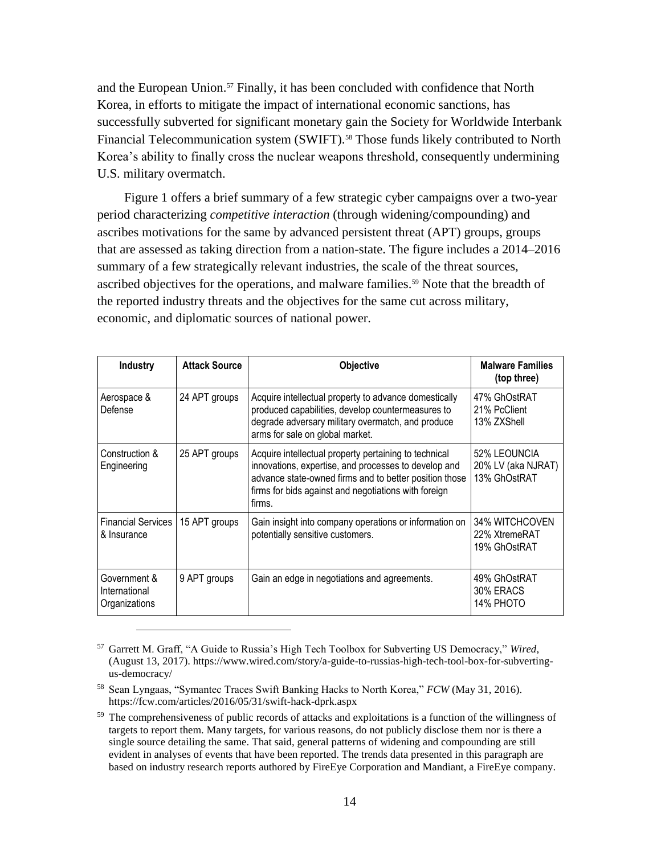and the European Union.<sup>57</sup> Finally, it has been concluded with confidence that North Korea, in efforts to mitigate the impact of international economic sanctions, has successfully subverted for significant monetary gain the Society for Worldwide Interbank Financial Telecommunication system (SWIFT).<sup>58</sup> Those funds likely contributed to North Korea's ability to finally cross the nuclear weapons threshold, consequently undermining U.S. military overmatch.

Figure 1 offers a brief summary of a few strategic cyber campaigns over a two-year period characterizing *competitive interaction* (through widening/compounding) and ascribes motivations for the same by advanced persistent threat (APT) groups, groups that are assessed as taking direction from a nation-state. The figure includes a 2014–2016 summary of a few strategically relevant industries, the scale of the threat sources, ascribed objectives for the operations, and malware families. <sup>59</sup> Note that the breadth of the reported industry threats and the objectives for the same cut across military, economic, and diplomatic sources of national power.

| <b>Industry</b>                                | <b>Attack Source</b> | <b>Objective</b>                                                                                                                                                                                                                          | <b>Malware Families</b><br>(top three)             |
|------------------------------------------------|----------------------|-------------------------------------------------------------------------------------------------------------------------------------------------------------------------------------------------------------------------------------------|----------------------------------------------------|
| Aerospace &<br>Defense                         | 24 APT groups        | Acquire intellectual property to advance domestically<br>produced capabilities, develop countermeasures to<br>degrade adversary military overmatch, and produce<br>arms for sale on global market.                                        | 47% GhOstRAT<br>21% PcClient<br>13% ZXShell        |
| Construction &<br>Engineering                  | 25 APT groups        | Acquire intellectual property pertaining to technical<br>innovations, expertise, and processes to develop and<br>advance state-owned firms and to better position those<br>firms for bids against and negotiations with foreign<br>firms. | 52% LEOUNCIA<br>20% LV (aka NJRAT)<br>13% GhOstRAT |
| <b>Financial Services</b><br>& Insurance       | 15 APT groups        | Gain insight into company operations or information on<br>potentially sensitive customers.                                                                                                                                                | 34% WITCHCOVEN<br>22% XtremeRAT<br>19% GhOstRAT    |
| Government &<br>International<br>Organizations | 9 APT groups         | Gain an edge in negotiations and agreements.                                                                                                                                                                                              | 49% GhOstRAT<br>30% ERACS<br>14% PHOTO             |

<sup>57</sup> Garrett M. Graff, "A Guide to Russia's High Tech Toolbox for Subverting US Democracy," *Wired*, (August 13, 2017). [https://www.wired.com/story/a-guide-to-russias-high-tech-tool-box-for-subverting](https://www.wired.com/story/a-guide-to-russias-high-tech-tool-box-for-subverting-us-democracy/)[us-democracy/](https://www.wired.com/story/a-guide-to-russias-high-tech-tool-box-for-subverting-us-democracy/)

<sup>58</sup> Sean Lyngaas, "Symantec Traces Swift Banking Hacks to North Korea," *FCW* (May 31, 2016). <https://fcw.com/articles/2016/05/31/swift-hack-dprk.aspx>

<sup>&</sup>lt;sup>59</sup> The comprehensiveness of public records of attacks and exploitations is a function of the willingness of targets to report them. Many targets, for various reasons, do not publicly disclose them nor is there a single source detailing the same. That said, general patterns of widening and compounding are still evident in analyses of events that have been reported. The trends data presented in this paragraph are based on industry research reports authored by FireEye Corporation and Mandiant, a FireEye company.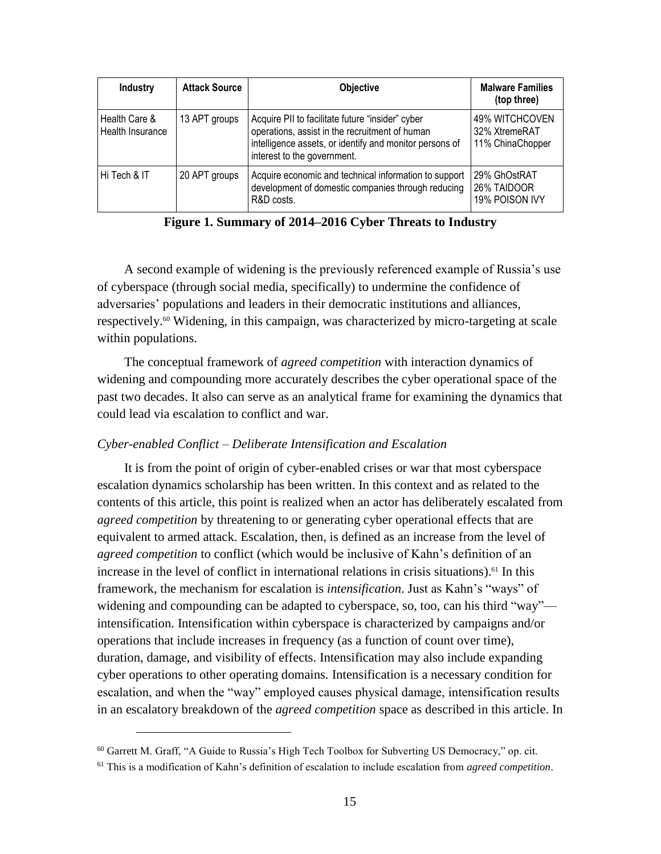| <b>Industry</b>                   | <b>Attack Source</b> | <b>Objective</b>                                                                                                                                                                             | <b>Malware Families</b><br>(top three)              |
|-----------------------------------|----------------------|----------------------------------------------------------------------------------------------------------------------------------------------------------------------------------------------|-----------------------------------------------------|
| Health Care &<br>Health Insurance | 13 APT groups        | Acquire PII to facilitate future "insider" cyber<br>operations, assist in the recruitment of human<br>intelligence assets, or identify and monitor persons of<br>interest to the government. | 49% WITCHCOVEN<br>32% XtremeRAT<br>11% ChinaChopper |
| Hi Tech & IT                      | 20 APT groups        | Acquire economic and technical information to support<br>development of domestic companies through reducing<br>R&D costs.                                                                    | 29% GhOstRAT<br>26% TAIDOOR<br>19% POISON IVY       |

**Figure 1. Summary of 2014–2016 Cyber Threats to Industry**

A second example of widening is the previously referenced example of Russia's use of cyberspace (through social media, specifically) to undermine the confidence of adversaries' populations and leaders in their democratic institutions and alliances, respectively. <sup>60</sup> Widening, in this campaign, was characterized by micro-targeting at scale within populations.

The conceptual framework of *agreed competition* with interaction dynamics of widening and compounding more accurately describes the cyber operational space of the past two decades. It also can serve as an analytical frame for examining the dynamics that could lead via escalation to conflict and war.

### *Cyber-enabled Conflict – Deliberate Intensification and Escalation*

It is from the point of origin of cyber-enabled crises or war that most cyberspace escalation dynamics scholarship has been written. In this context and as related to the contents of this article, this point is realized when an actor has deliberately escalated from *agreed competition* by threatening to or generating cyber operational effects that are equivalent to armed attack. Escalation, then, is defined as an increase from the level of *agreed competition* to conflict (which would be inclusive of Kahn's definition of an increase in the level of conflict in international relations in crisis situations). <sup>61</sup> In this framework, the mechanism for escalation is *intensification*. Just as Kahn's "ways" of widening and compounding can be adapted to cyberspace, so, too, can his third "way" intensification. Intensification within cyberspace is characterized by campaigns and/or operations that include increases in frequency (as a function of count over time), duration, damage, and visibility of effects. Intensification may also include expanding cyber operations to other operating domains. Intensification is a necessary condition for escalation, and when the "way" employed causes physical damage, intensification results in an escalatory breakdown of the *agreed competition* space as described in this article. In

 $60$  Garrett M. Graff, "A Guide to Russia's High Tech Toolbox for Subverting US Democracy," op. cit.

<sup>61</sup> This is a modification of Kahn's definition of escalation to include escalation from *agreed competition*.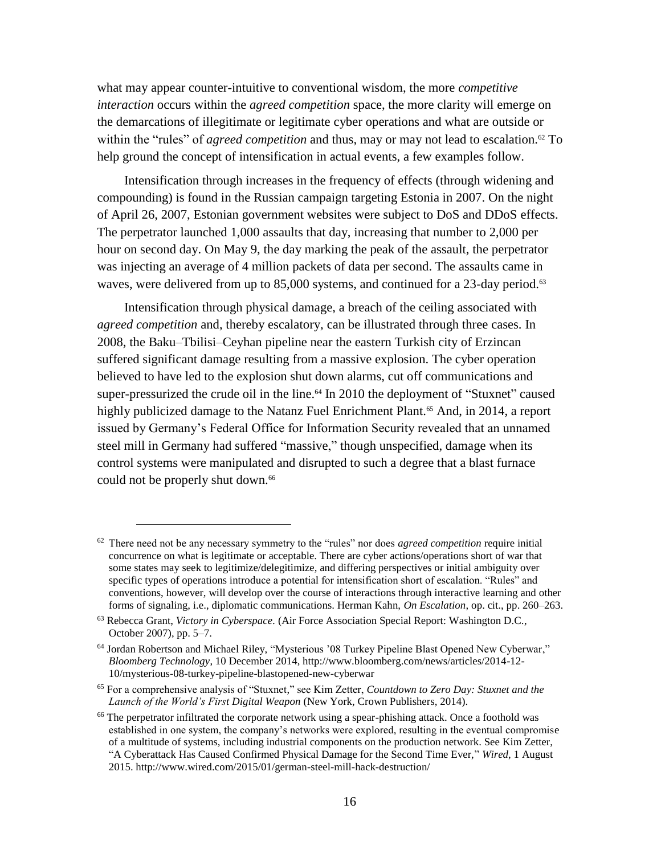what may appear counter-intuitive to conventional wisdom, the more *competitive interaction* occurs within the *agreed competition* space, the more clarity will emerge on the demarcations of illegitimate or legitimate cyber operations and what are outside or within the "rules" of *agreed competition* and thus, may or may not lead to escalation.<sup>62</sup> To help ground the concept of intensification in actual events, a few examples follow.

Intensification through increases in the frequency of effects (through widening and compounding) is found in the Russian campaign targeting Estonia in 2007. On the night of April 26, 2007, Estonian government websites were subject to DoS and DDoS effects. The perpetrator launched 1,000 assaults that day, increasing that number to 2,000 per hour on second day. On May 9, the day marking the peak of the assault, the perpetrator was injecting an average of 4 million packets of data per second. The assaults came in waves, were delivered from up to 85,000 systems, and continued for a 23-day period.<sup>63</sup>

Intensification through physical damage, a breach of the ceiling associated with *agreed competition* and, thereby escalatory, can be illustrated through three cases. In 2008, the Baku–Tbilisi–Ceyhan pipeline near the eastern Turkish city of Erzincan suffered significant damage resulting from a massive explosion. The cyber operation believed to have led to the explosion shut down alarms, cut off communications and super-pressurized the crude oil in the line.<sup>64</sup> In 2010 the deployment of "Stuxnet" caused highly publicized damage to the Natanz Fuel Enrichment Plant.<sup>65</sup> And, in 2014, a report issued by Germany's Federal Office for Information Security revealed that an unnamed steel mill in Germany had suffered "massive," though unspecified, damage when its control systems were manipulated and disrupted to such a degree that a blast furnace could not be properly shut down.<sup>66</sup>

<sup>62</sup> There need not be any necessary symmetry to the "rules" nor does *agreed competition* require initial concurrence on what is legitimate or acceptable. There are cyber actions/operations short of war that some states may seek to legitimize/delegitimize, and differing perspectives or initial ambiguity over specific types of operations introduce a potential for intensification short of escalation. "Rules" and conventions, however, will develop over the course of interactions through interactive learning and other forms of signaling, i.e., diplomatic communications. Herman Kahn, *On Escalation*, op. cit., pp. 260–263.

<sup>63</sup> Rebecca Grant, *Victory in Cyberspace.* (Air Force Association Special Report: Washington D.C., October 2007), pp. 5–7.

<sup>64</sup> Jordan Robertson and Michael Riley, "Mysterious '08 Turkey Pipeline Blast Opened New Cyberwar," *Bloomberg Technology*, 10 December 2014, http://www.bloomberg.com/news/articles/2014-12- 10/mysterious-08-turkey-pipeline-blastopened-new-cyberwar

<sup>65</sup> For a comprehensive analysis of "Stuxnet," see Kim Zetter, *Countdown to Zero Day: Stuxnet and the Launch of the World's First Digital Weapon* (New York, Crown Publishers, 2014).

<sup>&</sup>lt;sup>66</sup> The perpetrator infiltrated the corporate network using a spear-phishing attack. Once a foothold was established in one system, the company's networks were explored, resulting in the eventual compromise of a multitude of systems, including industrial components on the production network. See Kim Zetter, "A Cyberattack Has Caused Confirmed Physical Damage for the Second Time Ever," *Wired*, 1 August 2015. http://www.wired.com/2015/01/german-steel-mill-hack-destruction/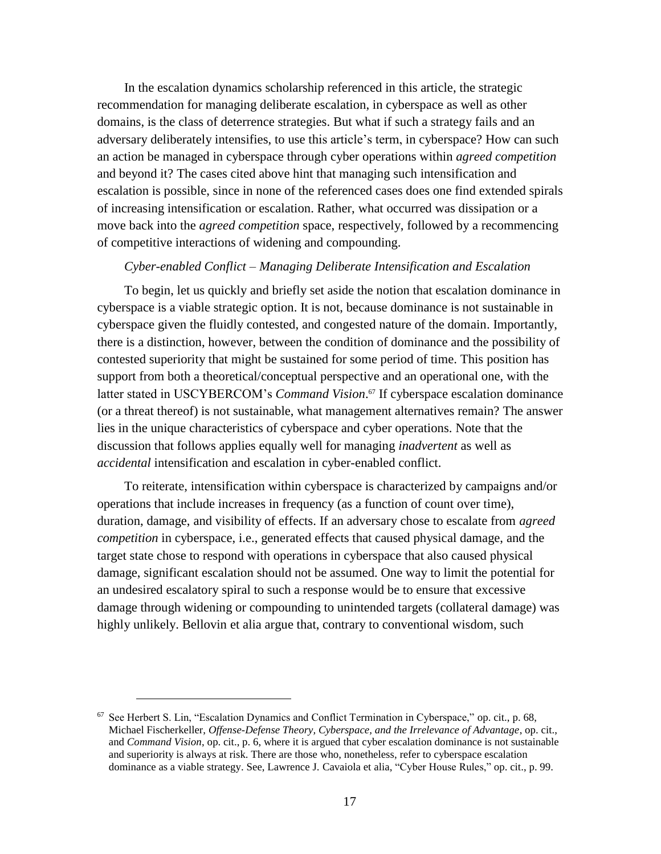In the escalation dynamics scholarship referenced in this article, the strategic recommendation for managing deliberate escalation, in cyberspace as well as other domains, is the class of deterrence strategies. But what if such a strategy fails and an adversary deliberately intensifies, to use this article's term, in cyberspace? How can such an action be managed in cyberspace through cyber operations within *agreed competition* and beyond it? The cases cited above hint that managing such intensification and escalation is possible, since in none of the referenced cases does one find extended spirals of increasing intensification or escalation. Rather, what occurred was dissipation or a move back into the *agreed competition* space, respectively, followed by a recommencing of competitive interactions of widening and compounding.

#### *Cyber-enabled Conflict – Managing Deliberate Intensification and Escalation*

To begin, let us quickly and briefly set aside the notion that escalation dominance in cyberspace is a viable strategic option. It is not, because dominance is not sustainable in cyberspace given the fluidly contested, and congested nature of the domain. Importantly, there is a distinction, however, between the condition of dominance and the possibility of contested superiority that might be sustained for some period of time. This position has support from both a theoretical/conceptual perspective and an operational one, with the latter stated in USCYBERCOM's *Command Vision*. <sup>67</sup> If cyberspace escalation dominance (or a threat thereof) is not sustainable, what management alternatives remain? The answer lies in the unique characteristics of cyberspace and cyber operations. Note that the discussion that follows applies equally well for managing *inadvertent* as well as *accidental* intensification and escalation in cyber-enabled conflict.

To reiterate, intensification within cyberspace is characterized by campaigns and/or operations that include increases in frequency (as a function of count over time), duration, damage, and visibility of effects. If an adversary chose to escalate from *agreed competition* in cyberspace, i.e., generated effects that caused physical damage, and the target state chose to respond with operations in cyberspace that also caused physical damage, significant escalation should not be assumed. One way to limit the potential for an undesired escalatory spiral to such a response would be to ensure that excessive damage through widening or compounding to unintended targets (collateral damage) was highly unlikely. Bellovin et alia argue that, contrary to conventional wisdom, such

<sup>67</sup> See Herbert S. Lin, "Escalation Dynamics and Conflict Termination in Cyberspace," op. cit., p. 68, Michael Fischerkeller, *Offense-Defense Theory, Cyberspace, and the Irrelevance of Advantage*, op. cit., and *Command Vision*, op. cit., p. 6, where it is argued that cyber escalation dominance is not sustainable and superiority is always at risk. There are those who, nonetheless, refer to cyberspace escalation dominance as a viable strategy. See, Lawrence J. Cavaiola et alia, "Cyber House Rules," op. cit., p. 99.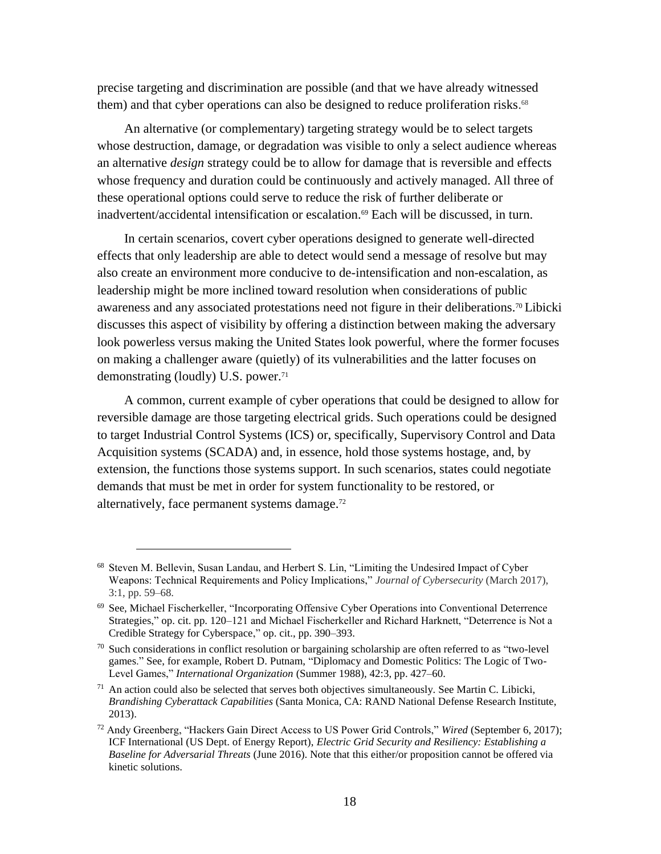precise targeting and discrimination are possible (and that we have already witnessed them) and that cyber operations can also be designed to reduce proliferation risks.<sup>68</sup>

An alternative (or complementary) targeting strategy would be to select targets whose destruction, damage, or degradation was visible to only a select audience whereas an alternative *design* strategy could be to allow for damage that is reversible and effects whose frequency and duration could be continuously and actively managed. All three of these operational options could serve to reduce the risk of further deliberate or inadvertent/accidental intensification or escalation.<sup>69</sup> Each will be discussed, in turn.

In certain scenarios, covert cyber operations designed to generate well-directed effects that only leadership are able to detect would send a message of resolve but may also create an environment more conducive to de-intensification and non-escalation, as leadership might be more inclined toward resolution when considerations of public awareness and any associated protestations need not figure in their deliberations.<sup>70</sup> Libicki discusses this aspect of visibility by offering a distinction between making the adversary look powerless versus making the United States look powerful, where the former focuses on making a challenger aware (quietly) of its vulnerabilities and the latter focuses on demonstrating (loudly) U.S. power. 71

A common, current example of cyber operations that could be designed to allow for reversible damage are those targeting electrical grids. Such operations could be designed to target Industrial Control Systems (ICS) or, specifically, Supervisory Control and Data Acquisition systems (SCADA) and, in essence, hold those systems hostage, and, by extension, the functions those systems support. In such scenarios, states could negotiate demands that must be met in order for system functionality to be restored, or alternatively, face permanent systems damage.<sup>72</sup>

<sup>68</sup> Steven M. Bellevin, Susan Landau, and Herbert S. Lin, "Limiting the Undesired Impact of Cyber Weapons: Technical Requirements and Policy Implications," *Journal of Cybersecurity* (March 2017), 3:1, pp. 59–68.

<sup>69</sup> See, Michael Fischerkeller, "Incorporating Offensive Cyber Operations into Conventional Deterrence Strategies," op. cit. pp. 120–121 and Michael Fischerkeller and Richard Harknett, "Deterrence is Not a Credible Strategy for Cyberspace," op. cit., pp. 390–393.

<sup>70</sup> Such considerations in conflict resolution or bargaining scholarship are often referred to as "two-level games." See, for example, Robert D. Putnam, "Diplomacy and Domestic Politics: The Logic of Two-Level Games," *International Organization* (Summer 1988), 42:3, pp. 427–60.

 $71$  An action could also be selected that serves both objectives simultaneously. See Martin C. Libicki, *Brandishing Cyberattack Capabilities* (Santa Monica, CA: RAND National Defense Research Institute, 2013).

<sup>72</sup> Andy Greenberg, "Hackers Gain Direct Access to US Power Grid Controls," *Wired* (September 6, 2017); ICF International (US Dept. of Energy Report), *Electric Grid Security and Resiliency: Establishing a Baseline for Adversarial Threats* (June 2016). Note that this either/or proposition cannot be offered via kinetic solutions.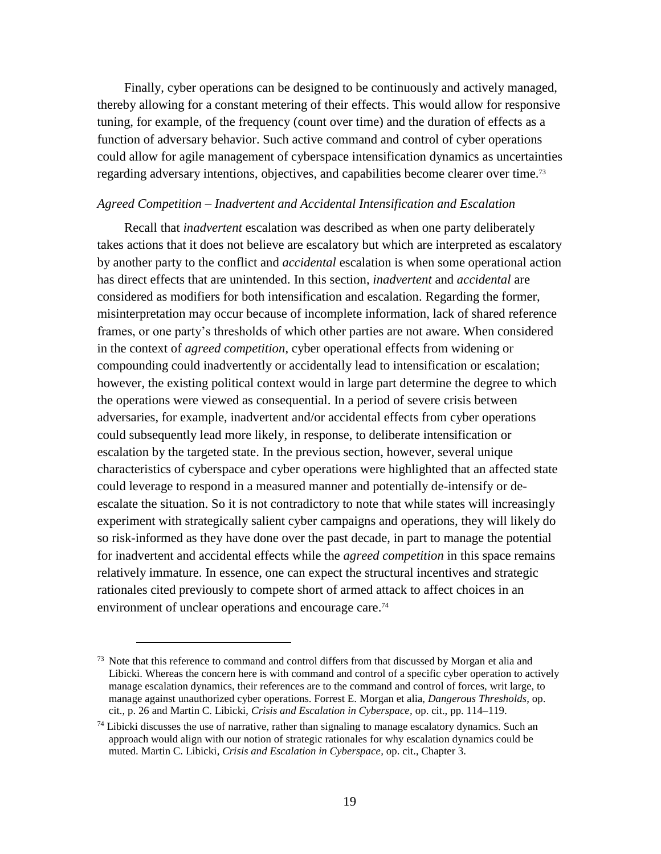Finally, cyber operations can be designed to be continuously and actively managed, thereby allowing for a constant metering of their effects. This would allow for responsive tuning, for example, of the frequency (count over time) and the duration of effects as a function of adversary behavior. Such active command and control of cyber operations could allow for agile management of cyberspace intensification dynamics as uncertainties regarding adversary intentions, objectives, and capabilities become clearer over time. 73

#### *Agreed Competition – Inadvertent and Accidental Intensification and Escalation*

Recall that *inadvertent* escalation was described as when one party deliberately takes actions that it does not believe are escalatory but which are interpreted as escalatory by another party to the conflict and *accidental* escalation is when some operational action has direct effects that are unintended. In this section, *inadvertent* and *accidental* are considered as modifiers for both intensification and escalation. Regarding the former, misinterpretation may occur because of incomplete information, lack of shared reference frames, or one party's thresholds of which other parties are not aware. When considered in the context of *agreed competition*, cyber operational effects from widening or compounding could inadvertently or accidentally lead to intensification or escalation; however, the existing political context would in large part determine the degree to which the operations were viewed as consequential. In a period of severe crisis between adversaries, for example, inadvertent and/or accidental effects from cyber operations could subsequently lead more likely, in response, to deliberate intensification or escalation by the targeted state. In the previous section, however, several unique characteristics of cyberspace and cyber operations were highlighted that an affected state could leverage to respond in a measured manner and potentially de-intensify or deescalate the situation. So it is not contradictory to note that while states will increasingly experiment with strategically salient cyber campaigns and operations, they will likely do so risk-informed as they have done over the past decade, in part to manage the potential for inadvertent and accidental effects while the *agreed competition* in this space remains relatively immature. In essence, one can expect the structural incentives and strategic rationales cited previously to compete short of armed attack to affect choices in an environment of unclear operations and encourage care.<sup>74</sup>

 $73$  Note that this reference to command and control differs from that discussed by Morgan et alia and Libicki. Whereas the concern here is with command and control of a specific cyber operation to actively manage escalation dynamics, their references are to the command and control of forces, writ large, to manage against unauthorized cyber operations. Forrest E. Morgan et alia, *Dangerous Thresholds*, op. cit., p. 26 and Martin C. Libicki, *Crisis and Escalation in Cyberspace,* op. cit., pp. 114–119.

 $74$  Libicki discusses the use of narrative, rather than signaling to manage escalatory dynamics. Such an approach would align with our notion of strategic rationales for why escalation dynamics could be muted. Martin C. Libicki, *Crisis and Escalation in Cyberspace,* op. cit., Chapter 3.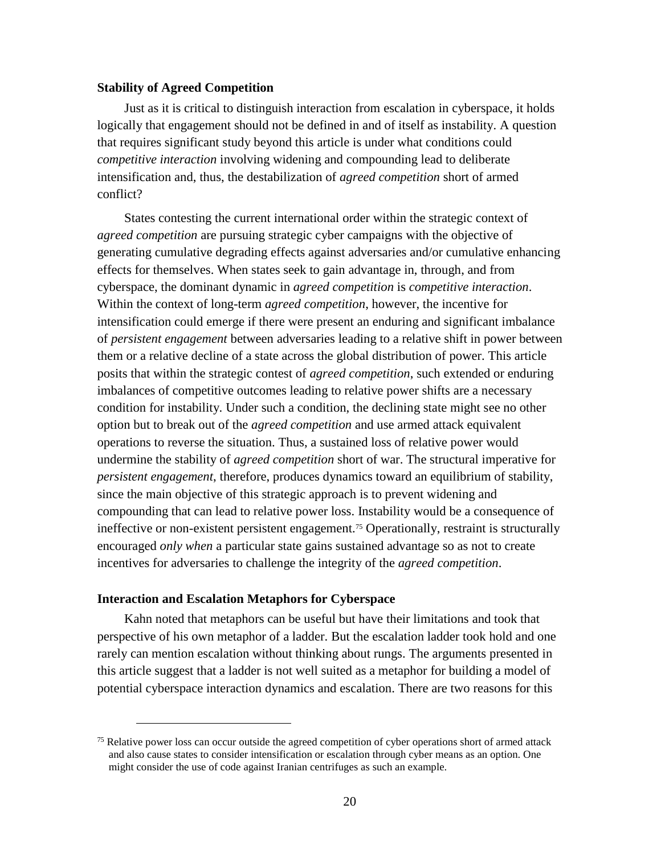#### **Stability of Agreed Competition**

Just as it is critical to distinguish interaction from escalation in cyberspace, it holds logically that engagement should not be defined in and of itself as instability. A question that requires significant study beyond this article is under what conditions could *competitive interaction* involving widening and compounding lead to deliberate intensification and, thus, the destabilization of *agreed competition* short of armed conflict?

States contesting the current international order within the strategic context of *agreed competition* are pursuing strategic cyber campaigns with the objective of generating cumulative degrading effects against adversaries and/or cumulative enhancing effects for themselves. When states seek to gain advantage in, through, and from cyberspace, the dominant dynamic in *agreed competition* is *competitive interaction*. Within the context of long-term *agreed competition*, however, the incentive for intensification could emerge if there were present an enduring and significant imbalance of *persistent engagement* between adversaries leading to a relative shift in power between them or a relative decline of a state across the global distribution of power. This article posits that within the strategic contest of *agreed competition*, such extended or enduring imbalances of competitive outcomes leading to relative power shifts are a necessary condition for instability. Under such a condition, the declining state might see no other option but to break out of the *agreed competition* and use armed attack equivalent operations to reverse the situation. Thus, a sustained loss of relative power would undermine the stability of *agreed competition* short of war. The structural imperative for *persistent engagement*, therefore, produces dynamics toward an equilibrium of stability, since the main objective of this strategic approach is to prevent widening and compounding that can lead to relative power loss. Instability would be a consequence of ineffective or non-existent persistent engagement.<sup>75</sup> Operationally, restraint is structurally encouraged *only when* a particular state gains sustained advantage so as not to create incentives for adversaries to challenge the integrity of the *agreed competition*.

#### **Interaction and Escalation Metaphors for Cyberspace**

 $\overline{a}$ 

Kahn noted that metaphors can be useful but have their limitations and took that perspective of his own metaphor of a ladder. But the escalation ladder took hold and one rarely can mention escalation without thinking about rungs. The arguments presented in this article suggest that a ladder is not well suited as a metaphor for building a model of potential cyberspace interaction dynamics and escalation. There are two reasons for this

<sup>&</sup>lt;sup>75</sup> Relative power loss can occur outside the agreed competition of cyber operations short of armed attack and also cause states to consider intensification or escalation through cyber means as an option. One might consider the use of code against Iranian centrifuges as such an example.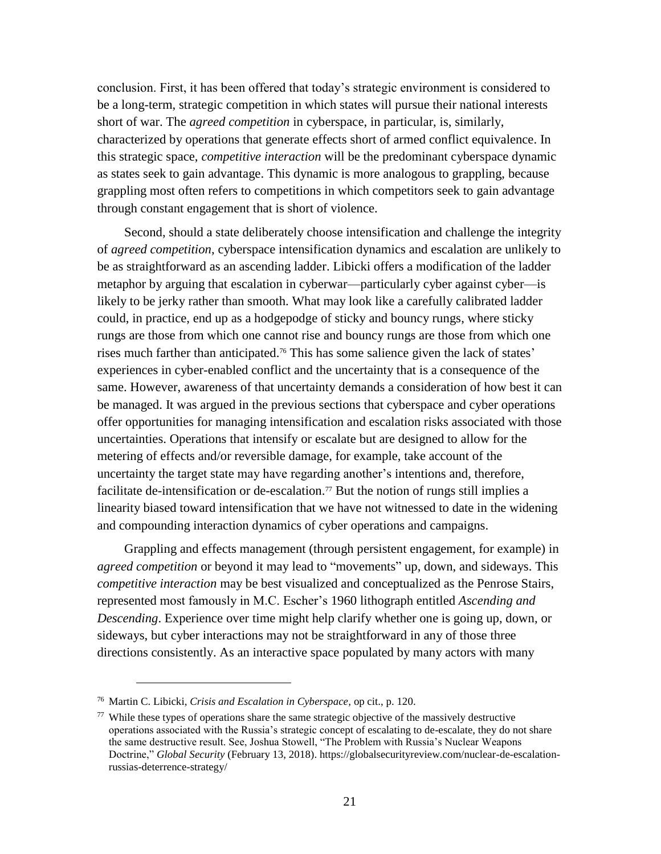conclusion. First, it has been offered that today's strategic environment is considered to be a long-term, strategic competition in which states will pursue their national interests short of war. The *agreed competition* in cyberspace, in particular, is, similarly, characterized by operations that generate effects short of armed conflict equivalence. In this strategic space, *competitive interaction* will be the predominant cyberspace dynamic as states seek to gain advantage. This dynamic is more analogous to grappling, because grappling most often refers to competitions in which competitors seek to gain advantage through constant engagement that is short of violence.

Second, should a state deliberately choose intensification and challenge the integrity of *agreed competition*, cyberspace intensification dynamics and escalation are unlikely to be as straightforward as an ascending ladder. Libicki offers a modification of the ladder metaphor by arguing that escalation in cyberwar—particularly cyber against cyber—is likely to be jerky rather than smooth. What may look like a carefully calibrated ladder could, in practice, end up as a hodgepodge of sticky and bouncy rungs, where sticky rungs are those from which one cannot rise and bouncy rungs are those from which one rises much farther than anticipated. <sup>76</sup> This has some salience given the lack of states' experiences in cyber-enabled conflict and the uncertainty that is a consequence of the same. However, awareness of that uncertainty demands a consideration of how best it can be managed. It was argued in the previous sections that cyberspace and cyber operations offer opportunities for managing intensification and escalation risks associated with those uncertainties. Operations that intensify or escalate but are designed to allow for the metering of effects and/or reversible damage, for example, take account of the uncertainty the target state may have regarding another's intentions and, therefore, facilitate de-intensification or de-escalation.<sup>77</sup> But the notion of rungs still implies a linearity biased toward intensification that we have not witnessed to date in the widening and compounding interaction dynamics of cyber operations and campaigns.

Grappling and effects management (through persistent engagement, for example) in *agreed competition* or beyond it may lead to "movements" up, down, and sideways. This *competitive interaction* may be best visualized and conceptualized as the Penrose Stairs, represented most famously in M.C. Escher's 1960 lithograph entitled *Ascending and Descending*. Experience over time might help clarify whether one is going up, down, or sideways, but cyber interactions may not be straightforward in any of those three directions consistently. As an interactive space populated by many actors with many

<sup>76</sup> Martin C. Libicki, *Crisis and Escalation in Cyberspace,* op cit., p. 120.

<sup>&</sup>lt;sup>77</sup> While these types of operations share the same strategic objective of the massively destructive operations associated with the Russia's strategic concept of escalating to de-escalate, they do not share the same destructive result. See, Joshua Stowell, "The Problem with Russia's Nuclear Weapons Doctrine," *Global Security* (February 13, 2018). [https://globalsecurityreview.com/nuclear-de-escalation](https://globalsecurityreview.com/nuclear-de-escalation-russias-deterrence-strategy/)[russias-deterrence-strategy/](https://globalsecurityreview.com/nuclear-de-escalation-russias-deterrence-strategy/)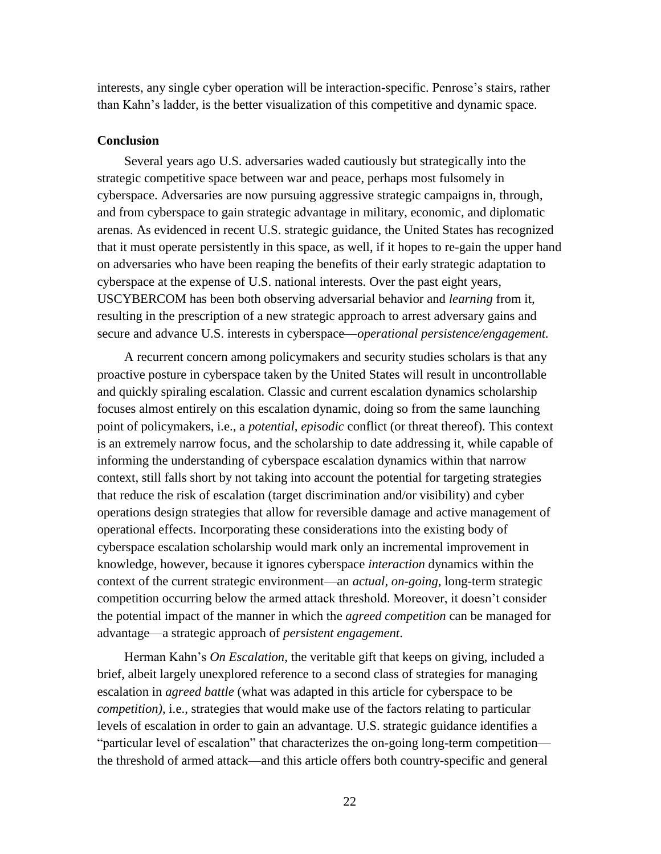interests, any single cyber operation will be interaction-specific. Penrose's stairs, rather than Kahn's ladder, is the better visualization of this competitive and dynamic space.

#### **Conclusion**

Several years ago U.S. adversaries waded cautiously but strategically into the strategic competitive space between war and peace, perhaps most fulsomely in cyberspace. Adversaries are now pursuing aggressive strategic campaigns in, through, and from cyberspace to gain strategic advantage in military, economic, and diplomatic arenas. As evidenced in recent U.S. strategic guidance, the United States has recognized that it must operate persistently in this space, as well, if it hopes to re-gain the upper hand on adversaries who have been reaping the benefits of their early strategic adaptation to cyberspace at the expense of U.S. national interests. Over the past eight years, USCYBERCOM has been both observing adversarial behavior and *learning* from it, resulting in the prescription of a new strategic approach to arrest adversary gains and secure and advance U.S. interests in cyberspace—*operational persistence/engagement.*

A recurrent concern among policymakers and security studies scholars is that any proactive posture in cyberspace taken by the United States will result in uncontrollable and quickly spiraling escalation. Classic and current escalation dynamics scholarship focuses almost entirely on this escalation dynamic, doing so from the same launching point of policymakers, i.e., a *potential, episodic* conflict (or threat thereof). This context is an extremely narrow focus, and the scholarship to date addressing it, while capable of informing the understanding of cyberspace escalation dynamics within that narrow context, still falls short by not taking into account the potential for targeting strategies that reduce the risk of escalation (target discrimination and/or visibility) and cyber operations design strategies that allow for reversible damage and active management of operational effects. Incorporating these considerations into the existing body of cyberspace escalation scholarship would mark only an incremental improvement in knowledge, however, because it ignores cyberspace *interaction* dynamics within the context of the current strategic environment—an *actual, on-going*, long-term strategic competition occurring below the armed attack threshold. Moreover, it doesn't consider the potential impact of the manner in which the *agreed competition* can be managed for advantage—a strategic approach of *persistent engagement*.

Herman Kahn's *On Escalation*, the veritable gift that keeps on giving, included a brief, albeit largely unexplored reference to a second class of strategies for managing escalation in *agreed battle* (what was adapted in this article for cyberspace to be *competition)*, i.e., strategies that would make use of the factors relating to particular levels of escalation in order to gain an advantage. U.S. strategic guidance identifies a "particular level of escalation" that characterizes the on-going long-term competition the threshold of armed attack—and this article offers both country-specific and general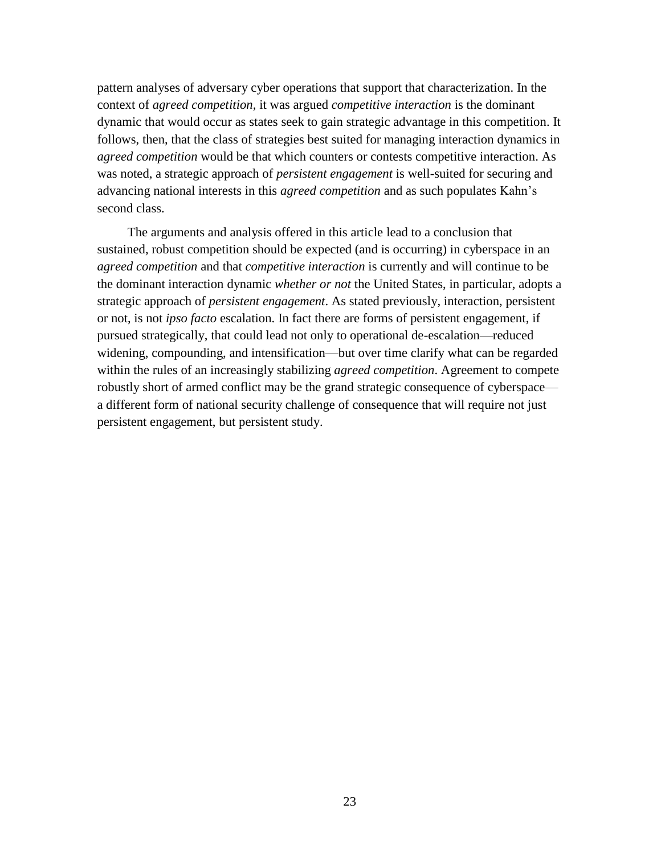pattern analyses of adversary cyber operations that support that characterization. In the context of *agreed competition,* it was argued *competitive interaction* is the dominant dynamic that would occur as states seek to gain strategic advantage in this competition. It follows, then, that the class of strategies best suited for managing interaction dynamics in *agreed competition* would be that which counters or contests competitive interaction. As was noted, a strategic approach of *persistent engagement* is well-suited for securing and advancing national interests in this *agreed competition* and as such populates Kahn's second class.

The arguments and analysis offered in this article lead to a conclusion that sustained, robust competition should be expected (and is occurring) in cyberspace in an *agreed competition* and that *competitive interaction* is currently and will continue to be the dominant interaction dynamic *whether or not* the United States, in particular, adopts a strategic approach of *persistent engagement*. As stated previously, interaction, persistent or not, is not *ipso facto* escalation. In fact there are forms of persistent engagement, if pursued strategically, that could lead not only to operational de-escalation—reduced widening, compounding, and intensification—but over time clarify what can be regarded within the rules of an increasingly stabilizing *agreed competition*. Agreement to compete robustly short of armed conflict may be the grand strategic consequence of cyberspace a different form of national security challenge of consequence that will require not just persistent engagement, but persistent study.